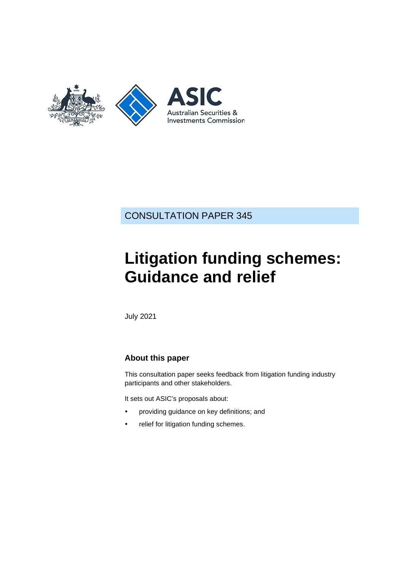

CONSULTATION PAPER 345

# **Litigation funding schemes: Guidance and relief**

July 2021

## **About this paper**

This consultation paper seeks feedback from litigation funding industry participants and other stakeholders.

It sets out ASIC's proposals about:

- providing guidance on key definitions; and
- relief for litigation funding schemes.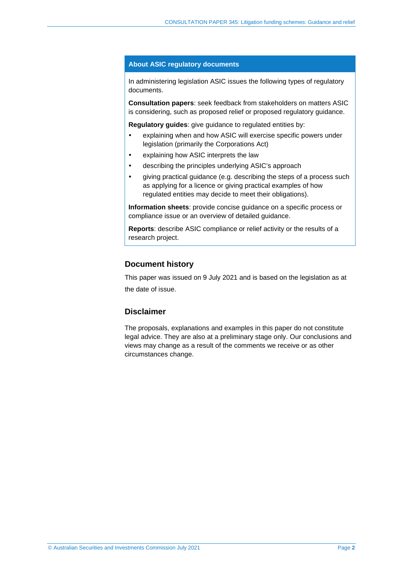#### **About ASIC regulatory documents**

In administering legislation ASIC issues the following types of regulatory documents.

**Consultation papers**: seek feedback from stakeholders on matters ASIC is considering, such as proposed relief or proposed regulatory guidance.

**Regulatory guides**: give guidance to regulated entities by:

- explaining when and how ASIC will exercise specific powers under legislation (primarily the Corporations Act)
- explaining how ASIC interprets the law
- describing the principles underlying ASIC's approach
- giving practical guidance (e.g. describing the steps of a process such as applying for a licence or giving practical examples of how regulated entities may decide to meet their obligations).

**Information sheets**: provide concise guidance on a specific process or compliance issue or an overview of detailed guidance.

**Reports**: describe ASIC compliance or relief activity or the results of a research project.

## **Document history**

This paper was issued on 9 July 2021 and is based on the legislation as at the date of issue.

## **Disclaimer**

The proposals, explanations and examples in this paper do not constitute legal advice. They are also at a preliminary stage only. Our conclusions and views may change as a result of the comments we receive or as other circumstances change.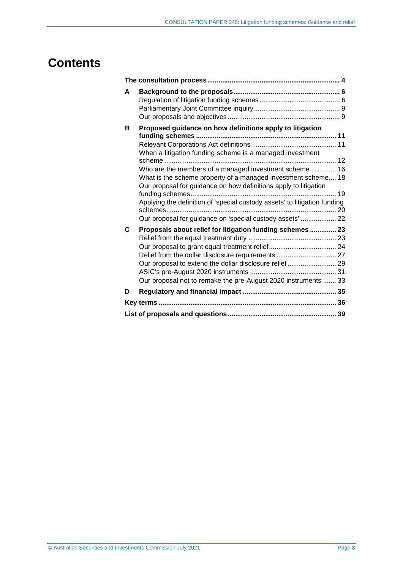## **Contents**

| A |                                                                                                                                                                                                                                                                                                                                      |  |  |
|---|--------------------------------------------------------------------------------------------------------------------------------------------------------------------------------------------------------------------------------------------------------------------------------------------------------------------------------------|--|--|
| в | Proposed guidance on how definitions apply to litigation<br>When a litigation funding scheme is a managed investment                                                                                                                                                                                                                 |  |  |
|   | Who are the members of a managed investment scheme 16<br>What is the scheme property of a managed investment scheme 18<br>Our proposal for guidance on how definitions apply to litigation<br>Applying the definition of 'special custody assets' to litigation funding<br>Our proposal for guidance on 'special custody assets'  22 |  |  |
| C | Proposals about relief for litigation funding schemes  23<br>Relief from the dollar disclosure requirements  27<br>Our proposal to extend the dollar disclosure relief  29<br>Our proposal not to remake the pre-August 2020 instruments  33                                                                                         |  |  |
| D |                                                                                                                                                                                                                                                                                                                                      |  |  |
|   |                                                                                                                                                                                                                                                                                                                                      |  |  |
|   |                                                                                                                                                                                                                                                                                                                                      |  |  |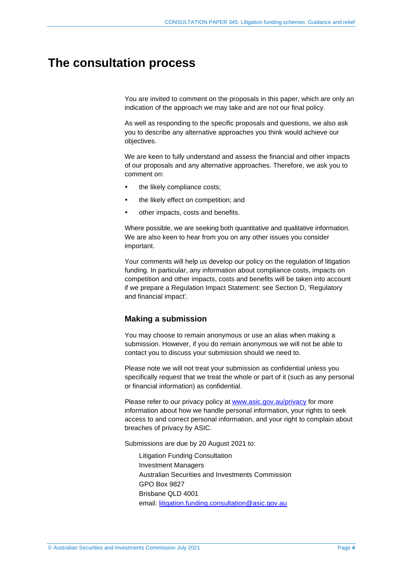## <span id="page-3-0"></span>**The consultation process**

You are invited to comment on the proposals in this paper, which are only an indication of the approach we may take and are not our final policy.

As well as responding to the specific proposals and questions, we also ask you to describe any alternative approaches you think would achieve our objectives.

We are keen to fully understand and assess the financial and other impacts of our proposals and any alternative approaches. Therefore, we ask you to comment on:

- the likely compliance costs;
- the likely effect on competition; and
- other impacts, costs and benefits.

Where possible, we are seeking both quantitative and qualitative information. We are also keen to hear from you on any other issues you consider important.

Your comments will help us develop our policy on the regulation of litigation funding. In particular, any information about compliance costs, impacts on competition and other impacts, costs and benefits will be taken into account if we prepare a Regulation Impact Statement: see Section [D,](#page-34-0) 'Regulatory and financial impact'.

#### **Making a submission**

You may choose to remain anonymous or use an alias when making a submission. However, if you do remain anonymous we will not be able to contact you to discuss your submission should we need to.

Please note we will not treat your submission as confidential unless you specifically request that we treat the whole or part of it (such as any personal or financial information) as confidential.

Please refer to our privacy policy at [www.asic.gov.au/privacy](http://www.asic.gov.au/privacy) for more information about how we handle personal information, your rights to seek access to and correct personal information, and your right to complain about breaches of privacy by ASIC.

Submissions are due by 20 August 2021 to:

Litigation Funding Consultation Investment Managers Australian Securities and Investments Commission GPO Box 9827 Brisbane QLD 4001 email: [litigation.funding.consultation@asic.gov.au](mailto:litigation.funding.consultation@asic.gov.au)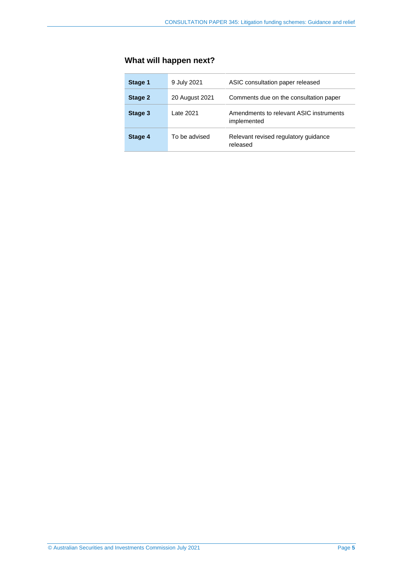## **What will happen next?**

| Stage 1 | 9 July 2021    | ASIC consultation paper released                       |
|---------|----------------|--------------------------------------------------------|
| Stage 2 | 20 August 2021 | Comments due on the consultation paper                 |
| Stage 3 | Late 2021      | Amendments to relevant ASIC instruments<br>implemented |
| Stage 4 | To be advised  | Relevant revised regulatory guidance<br>released       |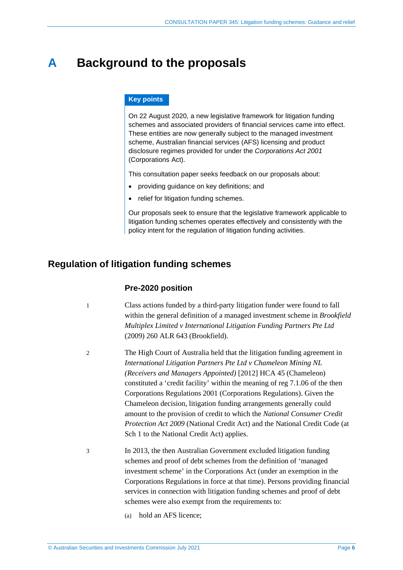## <span id="page-5-0"></span>**A Background to the proposals**

#### **Key points**

On 22 August 2020, a new legislative framework for litigation funding schemes and associated providers of financial services came into effect. These entities are now generally subject to the managed investment scheme, Australian financial services (AFS) licensing and product disclosure regimes provided for under the *Corporations Act 2001* (Corporations Act).

This consultation paper seeks feedback on our proposals about:

- providing guidance on key definitions; and
- relief for litigation funding schemes.

Our proposals seek to ensure that the legislative framework applicable to litigation funding schemes operates effectively and consistently with the policy intent for the regulation of litigation funding activities.

## <span id="page-5-1"></span>**Regulation of litigation funding schemes**

### **Pre-2020 position**

- 1 Class actions funded by a third-party litigation funder were found to fall within the general definition of a managed investment scheme in *Brookfield Multiplex Limited v International Litigation Funding Partners Pte Ltd* (2009) 260 ALR 643 (Brookfield).
- 2 The High Court of Australia held that the litigation funding agreement in *International Litigation Partners Pte Ltd v Chameleon Mining NL (Receivers and Managers Appointed)* [2012] HCA 45 (Chameleon) constituted a 'credit facility' within the meaning of reg 7.1.06 of the then Corporations Regulations 2001 (Corporations Regulations). Given the Chameleon decision, litigation funding arrangements generally could amount to the provision of credit to which the *National Consumer Credit Protection Act 2009* (National Credit Act) and the National Credit Code (at Sch 1 to the National Credit Act) applies.
- 3 In 2013, the then Australian Government excluded litigation funding schemes and proof of debt schemes from the definition of 'managed investment scheme' in the Corporations Act (under an exemption in the Corporations Regulations in force at that time). Persons providing financial services in connection with litigation funding schemes and proof of debt schemes were also exempt from the requirements to:
	- (a) hold an AFS licence;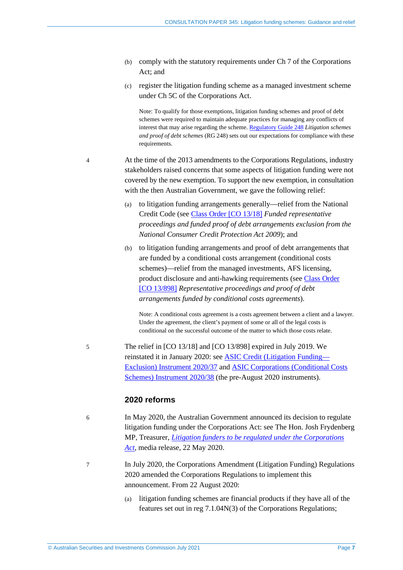- (b) comply with the statutory requirements under Ch 7 of the Corporations Act; and
- (c) register the litigation funding scheme as a managed investment scheme under Ch 5C of the Corporations Act.

Note: To qualify for those exemptions, litigation funding schemes and proof of debt schemes were required to maintain adequate practices for managing any conflicts of interest that may arise regarding the scheme. [Regulatory](https://asic.gov.au/regulatory-resources/find-a-document/regulatory-guides/rg-248-litigation-schemes-and-proof-of-debt-schemes-managing-conflicts-of-interest/) Guide 248 *Litigation schemes and proof of debt schemes* (RG 248) sets out our expectations for compliance with these requirements.

- <span id="page-6-0"></span>4 At the time of the 2013 amendments to the Corporations Regulations, industry stakeholders raised concerns that some aspects of litigation funding were not covered by the new exemption. To support the new exemption, in consultation with the then Australian Government, we gave the following relief:
	- (a) to litigation funding arrangements generally—relief from the National Credit Code (see Class Order [CO [13/18\]](https://www.legislation.gov.au/current/F2017C00575) *Funded representative proceedings and funded proof of debt arrangements exclusion from the National Consumer Credit Protection Act 2009*); and
	- (b) to litigation funding arrangements and proof of debt arrangements that are funded by a conditional costs arrangement (conditional costs schemes)—relief from the managed investments, AFS licensing, product disclosure and anti-hawking requirements (see Class [Order](https://www.legislation.gov.au/current/F2017C00574) [CO [13/898\]](https://www.legislation.gov.au/current/F2017C00574) *Representative proceedings and proof of debt arrangements funded by conditional costs agreements*).

Note: A conditional costs agreement is a costs agreement between a client and a lawyer. Under the agreement, the client's payment of some or all of the legal costs is conditional on the successful outcome of the matter to which those costs relate.

5 The relief in [CO 13/18] and [CO 13/898] expired in July 2019. We reinstated it in January 2020: see ASIC Credit (Litigation [Funding—](https://www.legislation.gov.au/current/F2020L00035) [Exclusion\)](https://www.legislation.gov.au/current/F2020L00035) Instrument 2020/37 and ASIC [Corporations](https://www.legislation.gov.au/Details/F2020L00034) (Conditional Costs Schemes) [Instrument](https://www.legislation.gov.au/Details/F2020L00034) 2020/38 (the pre-August 2020 instruments).

## **2020 reforms**

- 6 In May 2020, the Australian Government announced its decision to regulate litigation funding under the Corporations Act: see The Hon. Josh Frydenberg MP, Treasurer, *Litigation funders to be regulated under the [Corporations](https://ministers.treasury.gov.au/ministers/josh-frydenberg-2018/media-releases/litigation-funders-be-regulated-under-corporations) [Act](https://ministers.treasury.gov.au/ministers/josh-frydenberg-2018/media-releases/litigation-funders-be-regulated-under-corporations)*, media release, 22 May 2020.
- 7 In July 2020, the Corporations Amendment (Litigation Funding) Regulations 2020 amended the Corporations Regulations to implement this announcement. From 22 August 2020:
	- (a) litigation funding schemes are financial products if they have all of the features set out in reg 7.1.04N(3) of the Corporations Regulations;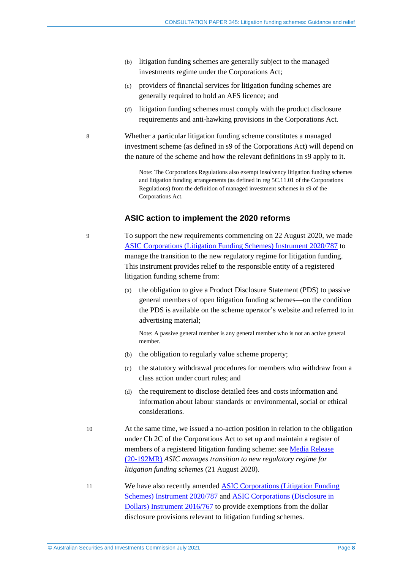- (b) litigation funding schemes are generally subject to the managed investments regime under the Corporations Act;
- (c) providers of financial services for litigation funding schemes are generally required to hold an AFS licence; and
- (d) litigation funding schemes must comply with the product disclosure requirements and anti-hawking provisions in the Corporations Act.

8 Whether a particular litigation funding scheme constitutes a managed investment scheme (as defined in s9 of the Corporations Act) will depend on the nature of the scheme and how the relevant definitions in s9 apply to it.

> Note: The Corporations Regulations also exempt insolvency litigation funding schemes and litigation funding arrangements (as defined in reg 5C.11.01 of the Corporations Regulations) from the definition of managed investment schemes in s9 of the Corporations Act.

#### **ASIC action to implement the 2020 reforms**

9 To support the new requirements commencing on 22 August 2020, we made ASIC [Corporations](https://www.legislation.gov.au/current/F2021C00447) (Litigation Funding Schemes) Instrument 2020/787 to manage the transition to the new regulatory regime for litigation funding. This instrument provides relief to the responsible entity of a registered litigation funding scheme from:

> (a) the obligation to give a Product Disclosure Statement (PDS) to passive general members of open litigation funding schemes—on the condition the PDS is available on the scheme operator's website and referred to in advertising material;

Note: A passive general member is any general member who is not an active general member.

- (b) the obligation to regularly value scheme property;
- (c) the statutory withdrawal procedures for members who withdraw from a class action under court rules; and
- (d) the requirement to disclose detailed fees and costs information and information about labour standards or environmental, social or ethical considerations.
- 10 At the same time, we issued a no-action position in relation to the obligation under Ch 2C of the Corporations Act to set up and maintain a register of members of a registered litigation funding scheme: see Media [Release](https://asic.gov.au/about-asic/news-centre/find-a-media-release/2020-releases/20-192mr-asic-manages-transition-to-new-regulatory-regime-for-litigation-funding-schemes/) [\(20-192MR\)](https://asic.gov.au/about-asic/news-centre/find-a-media-release/2020-releases/20-192mr-asic-manages-transition-to-new-regulatory-regime-for-litigation-funding-schemes/) *ASIC manages transition to new regulatory regime for litigation funding schemes* (21 August 2020).
- 11 We have also recently amended ASIC [Corporations](https://www.legislation.gov.au/current/F2021C00447) (Litigation Funding Schemes) [Instrument](https://www.legislation.gov.au/current/F2021C00447) 2020/787 and ASIC [Corporations](https://www.legislation.gov.au/Details/F2021C00453) (Disclosure in Dollars) [Instrument](https://www.legislation.gov.au/Details/F2021C00453) 2016/767 to provide exemptions from the dollar disclosure provisions relevant to litigation funding schemes.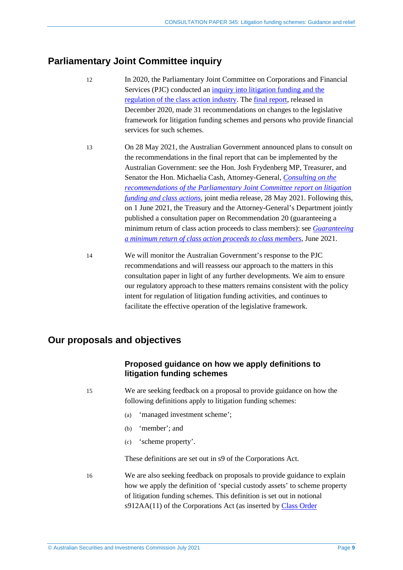## <span id="page-8-0"></span>**Parliamentary Joint Committee inquiry**

- 12 In 2020, the Parliamentary Joint Committee on Corporations and Financial Services (PJC) conducted an inquiry into [litigation](https://www.aph.gov.au/Parliamentary_Business/Committees/Joint/Corporations_and_Financial_Services/Litigationfunding) funding and the [regulation](https://www.aph.gov.au/Parliamentary_Business/Committees/Joint/Corporations_and_Financial_Services/Litigationfunding) of the class action industry. The final [report,](https://www.aph.gov.au/Parliamentary_Business/Committees/Joint/Corporations_and_Financial_Services/Litigationfunding/Report) released in December 2020, made 31 recommendations on changes to the legislative framework for litigation funding schemes and persons who provide financial services for such schemes.
- 13 On 28 May 2021, the Australian Government announced plans to consult on the recommendations in the final report that can be implemented by the Australian Government: see the Hon. Josh Frydenberg MP, Treasurer, and Senator the Hon. Michaelia Cash, Attorney-General, *[Consulting](https://ministers.treasury.gov.au/ministers/josh-frydenberg-2018/media-releases/consulting-recommendations-parliamentary-joint) on the [recommendations](https://ministers.treasury.gov.au/ministers/josh-frydenberg-2018/media-releases/consulting-recommendations-parliamentary-joint) of the Parliamentary Joint Committee report on litigation [funding](https://ministers.treasury.gov.au/ministers/josh-frydenberg-2018/media-releases/consulting-recommendations-parliamentary-joint) and class actions*, joint media release, 28 May 2021. Following this, on 1 June 2021, the Treasury and the Attorney-General's Department jointly published a consultation paper on Recommendation 20 (guaranteeing a minimum return of class action proceeds to class members): see *[Guaranteeing](https://treasury.gov.au/consultation/c2021-176658) a [minimum](https://treasury.gov.au/consultation/c2021-176658) return of class action proceeds to class members*, June 2021.
- 14 We will monitor the Australian Government's response to the PJC recommendations and will reassess our approach to the matters in this consultation paper in light of any further developments. We aim to ensure our regulatory approach to these matters remains consistent with the policy intent for regulation of litigation funding activities, and continues to facilitate the effective operation of the legislative framework.

## <span id="page-8-1"></span>**Our proposals and objectives**

## **Proposed guidance on how we apply definitions to litigation funding schemes**

15 We are seeking feedback on a proposal to provide guidance on how the following definitions apply to litigation funding schemes:

- (a) 'managed investment scheme';
- (b) 'member'; and
- (c) 'scheme property'.

These definitions are set out in s9 of the Corporations Act.

16 We are also seeking feedback on proposals to provide guidance to explain how we apply the definition of 'special custody assets' to scheme property of litigation funding schemes. This definition is set out in notional s912AA(11) of the Corporations Act (as inserted by Class [Order](https://www.legislation.gov.au/current/F2021C00452)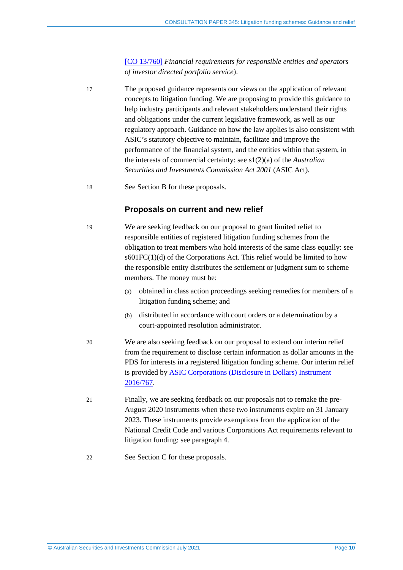[CO [13/760\]](https://www.legislation.gov.au/current/F2021C00452) *Financial requirements for responsible entities and operators of investor directed portfolio service*).

- 17 The proposed guidance represents our views on the application of relevant concepts to litigation funding. We are proposing to provide this guidance to help industry participants and relevant stakeholders understand their rights and obligations under the current legislative framework, as well as our regulatory approach. Guidance on how the law applies is also consistent with ASIC's statutory objective to maintain, facilitate and improve the performance of the financial system, and the entities within that system, in the interests of commercial certainty: see s1(2)(a) of the *Australian Securities and Investments Commission Act 2001* (ASIC Act).
- 18 See Section [B](#page-10-0) for these proposals.

## **Proposals on current and new relief**

- 19 We are seeking feedback on our proposal to grant limited relief to responsible entities of registered litigation funding schemes from the obligation to treat members who hold interests of the same class equally: see  $s601FC(1)(d)$  of the Corporations Act. This relief would be limited to how the responsible entity distributes the settlement or judgment sum to scheme members. The money must be:
	- (a) obtained in class action proceedings seeking remedies for members of a litigation funding scheme; and
	- (b) distributed in accordance with court orders or a determination by a court-appointed resolution administrator.
- 20 We are also seeking feedback on our proposal to extend our interim relief from the requirement to disclose certain information as dollar amounts in the PDS for interests in a registered litigation funding scheme. Our interim relief is provided by ASIC [Corporations](https://www.legislation.gov.au/Details/F2021C00453) (Disclosure in Dollars) Instrument [2016/767.](https://www.legislation.gov.au/Details/F2021C00453)
- 21 Finally, we are seeking feedback on our proposals not to remake the pre-August 2020 instruments when these two instruments expire on 31 January 2023. These instruments provide exemptions from the application of the National Credit Code and various Corporations Act requirements relevant to litigation funding: see paragraph [4.](#page-6-0)
- 22 See Section [C](#page-22-0) for these proposals.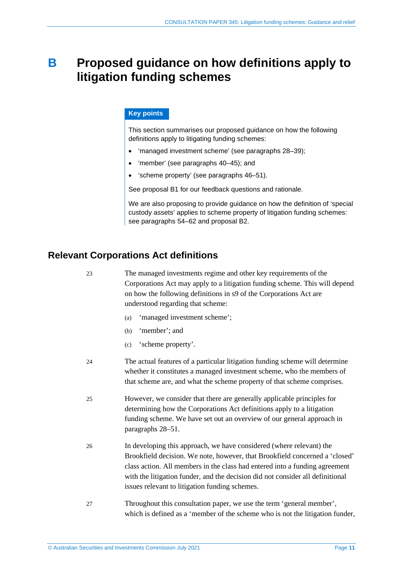## <span id="page-10-0"></span>**B Proposed guidance on how definitions apply to litigation funding schemes**

## **Key points**

This section summarises our proposed guidance on how the following definitions apply to litigating funding schemes:

- 'managed investment scheme' (see paragraphs [28–](#page-11-1)[39\)](#page-15-1);
- 'member' (see paragraphs [40–](#page-15-2)[45\)](#page-16-0); and
- 'scheme property' (see paragraphs [46–](#page-17-1)[51\)](#page-18-1).

See proposal [B1](#page-18-2) for our feedback questions and rationale.

We are also proposing to provide guidance on how the definition of 'special custody assets' applies to scheme property of litigation funding schemes: see paragraphs [54–](#page-19-1)[62](#page-20-0) and proposal [B2.](#page-21-1)

## <span id="page-10-2"></span><span id="page-10-1"></span>**Relevant Corporations Act definitions**

23 The managed investments regime and other key requirements of the Corporations Act may apply to a litigation funding scheme. This will depend on how the following definitions in s9 of the Corporations Act are understood regarding that scheme:

- (a) 'managed investment scheme';
- (b) 'member'; and
- (c) 'scheme property'.
- 24 The actual features of a particular litigation funding scheme will determine whether it constitutes a managed investment scheme, who the members of that scheme are, and what the scheme property of that scheme comprises.
- 25 However, we consider that there are generally applicable principles for determining how the Corporations Act definitions apply to a litigation funding scheme. We have set out an overview of our general approach in paragraphs [28–](#page-11-1)[51.](#page-18-1)
- 26 In developing this approach, we have considered (where relevant) the Brookfield decision. We note, however, that Brookfield concerned a 'closed' class action. All members in the class had entered into a funding agreement with the litigation funder, and the decision did not consider all definitional issues relevant to litigation funding schemes.
- 27 Throughout this consultation paper, we use the term 'general member', which is defined as a 'member of the scheme who is not the litigation funder,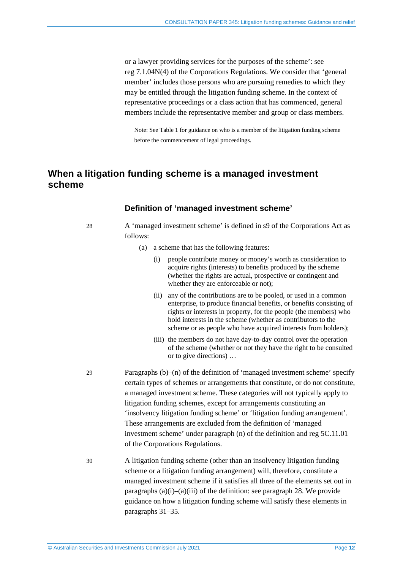or a lawyer providing services for the purposes of the scheme': see reg 7.1.04N(4) of the Corporations Regulations. We consider that 'general member' includes those persons who are pursuing remedies to which they may be entitled through the litigation funding scheme. In the context of representative proceedings or a class action that has commenced, general members include the representative member and group or class members.

Note: See [Table 1](#page-16-1) for guidance on who is a member of the litigation funding scheme before the commencement of legal proceedings.

## <span id="page-11-0"></span>**When a litigation funding scheme is a managed investment scheme**

## **Definition of 'managed investment scheme'**

28 A 'managed investment scheme' is defined in s9 of the Corporations Act as follows:

- (a) a scheme that has the following features:
	- (i) people contribute money or money's worth as consideration to acquire rights (interests) to benefits produced by the scheme (whether the rights are actual, prospective or contingent and whether they are enforceable or not);
	- (ii) any of the contributions are to be pooled, or used in a common enterprise, to produce financial benefits, or benefits consisting of rights or interests in property, for the people (the members) who hold interests in the scheme (whether as contributors to the scheme or as people who have acquired interests from holders);
	- (iii) the members do not have day-to-day control over the operation of the scheme (whether or not they have the right to be consulted or to give directions) …
- 29 Paragraphs (b)–(n) of the definition of 'managed investment scheme' specify certain types of schemes or arrangements that constitute, or do not constitute, a managed investment scheme. These categories will not typically apply to litigation funding schemes, except for arrangements constituting an 'insolvency litigation funding scheme' or 'litigation funding arrangement'. These arrangements are excluded from the definition of 'managed investment scheme' under paragraph (n) of the definition and reg 5C.11.01 of the Corporations Regulations.
- 30 A litigation funding scheme (other than an insolvency litigation funding scheme or a litigation funding arrangement) will, therefore, constitute a managed investment scheme if it satisfies all three of the elements set out in paragraphs  $(a)(i)$ – $(a)(iii)$  of the definition: see paragraph [28.](#page-11-1) We provide guidance on how a litigation funding scheme will satisfy these elements in paragraphs [31–](#page-12-0)[35.](#page-13-0)

<span id="page-11-1"></span>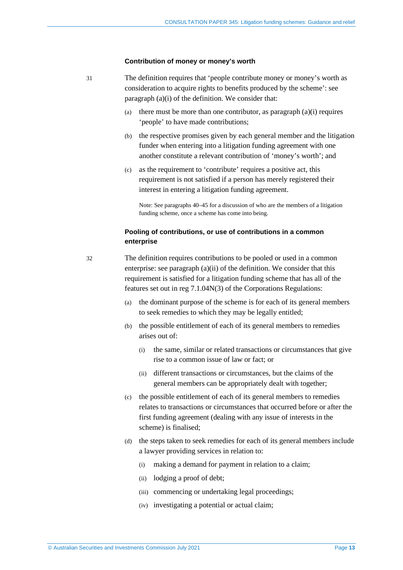#### **Contribution of money or money's worth**

- <span id="page-12-0"></span>31 The definition requires that 'people contribute money or money's worth as consideration to acquire rights to benefits produced by the scheme': see paragraph (a)(i) of the definition. We consider that:
	- (a) there must be more than one contributor, as paragraph  $(a)(i)$  requires 'people' to have made contributions;
	- (b) the respective promises given by each general member and the litigation funder when entering into a litigation funding agreement with one another constitute a relevant contribution of 'money's worth'; and
	- (c) as the requirement to 'contribute' requires a positive act, this requirement is not satisfied if a person has merely registered their interest in entering a litigation funding agreement.

Note: See paragraphs [40](#page-15-2)[–45](#page-16-0) for a discussion of who are the members of a litigation funding scheme, once a scheme has come into being.

#### **Pooling of contributions, or use of contributions in a common enterprise**

32 The definition requires contributions to be pooled or used in a common enterprise: see paragraph (a)(ii) of the definition. We consider that this requirement is satisfied for a litigation funding scheme that has all of the features set out in reg 7.1.04N(3) of the Corporations Regulations:

- (a) the dominant purpose of the scheme is for each of its general members to seek remedies to which they may be legally entitled;
- (b) the possible entitlement of each of its general members to remedies arises out of:
	- (i) the same, similar or related transactions or circumstances that give rise to a common issue of law or fact; or
	- (ii) different transactions or circumstances, but the claims of the general members can be appropriately dealt with together;
- (c) the possible entitlement of each of its general members to remedies relates to transactions or circumstances that occurred before or after the first funding agreement (dealing with any issue of interests in the scheme) is finalised;
- (d) the steps taken to seek remedies for each of its general members include a lawyer providing services in relation to:
	- (i) making a demand for payment in relation to a claim;
	- (ii) lodging a proof of debt;
	- (iii) commencing or undertaking legal proceedings;
	- (iv) investigating a potential or actual claim;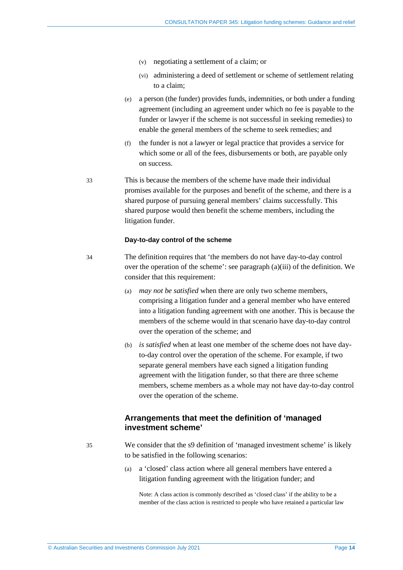- (v) negotiating a settlement of a claim; or
- (vi) administering a deed of settlement or scheme of settlement relating to a claim;
- (e) a person (the funder) provides funds, indemnities, or both under a funding agreement (including an agreement under which no fee is payable to the funder or lawyer if the scheme is not successful in seeking remedies) to enable the general members of the scheme to seek remedies; and
- (f) the funder is not a lawyer or legal practice that provides a service for which some or all of the fees, disbursements or both, are payable only on success.
- 33 This is because the members of the scheme have made their individual promises available for the purposes and benefit of the scheme, and there is a shared purpose of pursuing general members' claims successfully. This shared purpose would then benefit the scheme members, including the litigation funder.

#### **Day-to-day control of the scheme**

- <span id="page-13-1"></span>34 The definition requires that 'the members do not have day-to-day control over the operation of the scheme': see paragraph (a)(iii) of the definition. We consider that this requirement:
	- (a) *may not be satisfied* when there are only two scheme members, comprising a litigation funder and a general member who have entered into a litigation funding agreement with one another. This is because the members of the scheme would in that scenario have day-to-day control over the operation of the scheme; and
	- (b) *is satisfied* when at least one member of the scheme does not have dayto-day control over the operation of the scheme. For example, if two separate general members have each signed a litigation funding agreement with the litigation funder, so that there are three scheme members, scheme members as a whole may not have day-to-day control over the operation of the scheme.

## **Arrangements that meet the definition of 'managed investment scheme'**

- <span id="page-13-0"></span>35 We consider that the s9 definition of 'managed investment scheme' is likely to be satisfied in the following scenarios:
	- (a) a 'closed' class action where all general members have entered a litigation funding agreement with the litigation funder; and

Note: A class action is commonly described as 'closed class' if the ability to be a member of the class action is restricted to people who have retained a particular law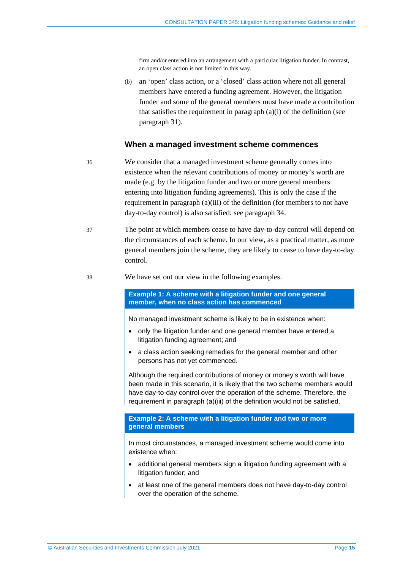firm and/or entered into an arrangement with a particular litigation funder. In contrast, an open class action is not limited in this way.

(b) an 'open' class action, or a 'closed' class action where not all general members have entered a funding agreement. However, the litigation funder and some of the general members must have made a contribution that satisfies the requirement in paragraph (a)(i) of the definition (see paragraph [31\)](#page-12-0).

#### **When a managed investment scheme commences**

- <span id="page-14-0"></span>36 We consider that a managed investment scheme generally comes into existence when the relevant contributions of money or money's worth are made (e.g. by the litigation funder and two or more general members entering into litigation funding agreements). This is only the case if the requirement in paragraph (a)(iii) of the definition (for members to not have day-to-day control) is also satisfied: see paragraph [34.](#page-13-1)
- 37 The point at which members cease to have day-to-day control will depend on the circumstances of each scheme. In our view, as a practical matter, as more general members join the scheme, they are likely to cease to have day-to-day control.
- 38 We have set out our view in the following examples.

**Example 1: A scheme with a litigation funder and one general member, when no class action has commenced**

No managed investment scheme is likely to be in existence when:

- only the litigation funder and one general member have entered a litigation funding agreement; and
- a class action seeking remedies for the general member and other persons has not yet commenced.

Although the required contributions of money or money's worth will have been made in this scenario, it is likely that the two scheme members would have day-to-day control over the operation of the scheme. Therefore, the requirement in paragraph (a)(iii) of the definition would not be satisfied.

#### **Example 2: A scheme with a litigation funder and two or more general members**

In most circumstances, a managed investment scheme would come into existence when:

- additional general members sign a litigation funding agreement with a litigation funder; and
- at least one of the general members does not have day-to-day control over the operation of the scheme.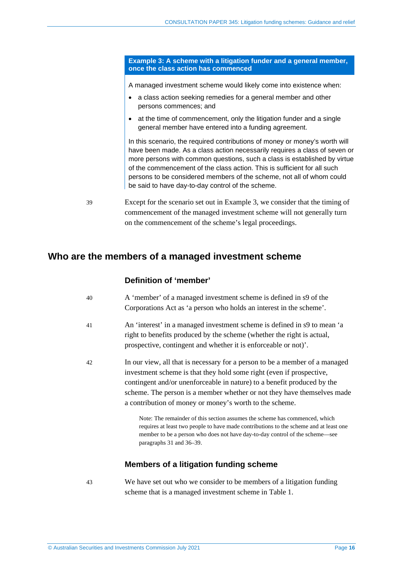<span id="page-15-3"></span>**Example 3: A scheme with a litigation funder and a general member, once the class action has commenced**

A managed investment scheme would likely come into existence when:

- a class action seeking remedies for a general member and other persons commences; and
- at the time of commencement, only the litigation funder and a single general member have entered into a funding agreement.

In this scenario, the required contributions of money or money's worth will have been made. As a class action necessarily requires a class of seven or more persons with common questions, such a class is established by virtue of the commencement of the class action. This is sufficient for all such persons to be considered members of the scheme, not all of whom could be said to have day-to-day control of the scheme.

<span id="page-15-1"></span>39 Except for the scenario set out in [Example 3,](#page-15-3) we consider that the timing of commencement of the managed investment scheme will not generally turn on the commencement of the scheme's legal proceedings.

## <span id="page-15-2"></span><span id="page-15-0"></span>**Who are the members of a managed investment scheme**

## **Definition of 'member'**

| 40 | A 'member' of a managed investment scheme is defined in s9 of the   |
|----|---------------------------------------------------------------------|
|    | Corporations Act as 'a person who holds an interest in the scheme'. |

- 41 An 'interest' in a managed investment scheme is defined in s9 to mean 'a right to benefits produced by the scheme (whether the right is actual, prospective, contingent and whether it is enforceable or not)'.
- 42 In our view, all that is necessary for a person to be a member of a managed investment scheme is that they hold some right (even if prospective, contingent and/or unenforceable in nature) to a benefit produced by the scheme. The person is a member whether or not they have themselves made a contribution of money or money's worth to the scheme.

Note: The remainder of this section assumes the scheme has commenced, which requires at least two people to have made contributions to the scheme and at least one member to be a person who does not have day-to-day control of the scheme—see paragraphs [31](#page-12-0) and [36](#page-14-0)[–39.](#page-15-1)

## **Members of a litigation funding scheme**

43 We have set out who we consider to be members of a litigation funding scheme that is a managed investment scheme in [Table 1.](#page-16-1)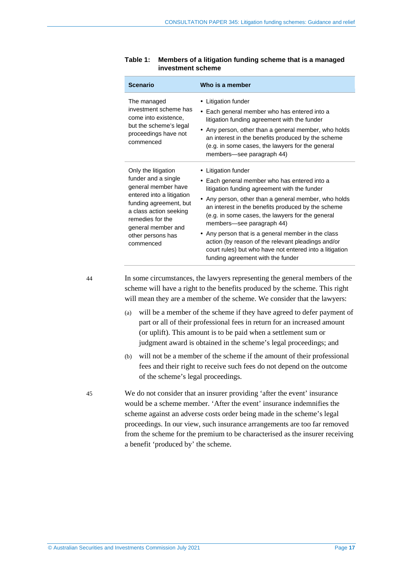| <b>Scenario</b>                                                                                                                                                                                                                | Who is a member                                                                                                                                                                                                                                                                                                                                                                                                                                                                                                                |
|--------------------------------------------------------------------------------------------------------------------------------------------------------------------------------------------------------------------------------|--------------------------------------------------------------------------------------------------------------------------------------------------------------------------------------------------------------------------------------------------------------------------------------------------------------------------------------------------------------------------------------------------------------------------------------------------------------------------------------------------------------------------------|
| The managed<br>investment scheme has<br>come into existence.<br>but the scheme's legal<br>proceedings have not<br>commenced                                                                                                    | • Litigation funder<br>• Each general member who has entered into a<br>litigation funding agreement with the funder<br>• Any person, other than a general member, who holds<br>an interest in the benefits produced by the scheme<br>(e.g. in some cases, the lawyers for the general<br>members-see paragraph 44)                                                                                                                                                                                                             |
| Only the litigation<br>funder and a single<br>general member have<br>entered into a litigation<br>funding agreement, but<br>a class action seeking<br>remedies for the<br>general member and<br>other persons has<br>commenced | • Litigation funder<br>• Each general member who has entered into a<br>litigation funding agreement with the funder<br>• Any person, other than a general member, who holds<br>an interest in the benefits produced by the scheme<br>(e.g. in some cases, the lawyers for the general<br>members—see paragraph 44)<br>• Any person that is a general member in the class<br>action (by reason of the relevant pleadings and/or<br>court rules) but who have not entered into a litigation<br>funding agreement with the funder |

#### <span id="page-16-1"></span>**Table 1: Members of a litigation funding scheme that is a managed investment scheme**

<span id="page-16-2"></span>44 In some circumstances, the lawyers representing the general members of the scheme will have a right to the benefits produced by the scheme. This right will mean they are a member of the scheme. We consider that the lawyers:

- (a) will be a member of the scheme if they have agreed to defer payment of part or all of their professional fees in return for an increased amount (or uplift). This amount is to be paid when a settlement sum or judgment award is obtained in the scheme's legal proceedings; and
- (b) will not be a member of the scheme if the amount of their professional fees and their right to receive such fees do not depend on the outcome of the scheme's legal proceedings.

<span id="page-16-0"></span>45 We do not consider that an insurer providing 'after the event' insurance would be a scheme member. 'After the event' insurance indemnifies the scheme against an adverse costs order being made in the scheme's legal proceedings. In our view, such insurance arrangements are too far removed from the scheme for the premium to be characterised as the insurer receiving a benefit 'produced by' the scheme.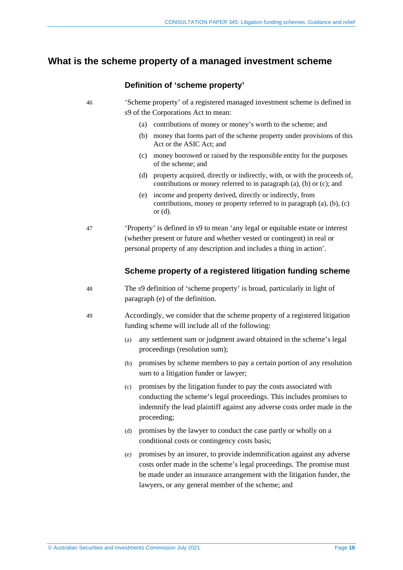## <span id="page-17-1"></span><span id="page-17-0"></span>**What is the scheme property of a managed investment scheme**

## **Definition of 'scheme property'**

46 'Scheme property' of a registered managed investment scheme is defined in s9 of the Corporations Act to mean:

- (a) contributions of money or money's worth to the scheme; and
- (b) money that forms part of the scheme property under provisions of this Act or the ASIC Act; and
- (c) money borrowed or raised by the responsible entity for the purposes of the scheme; and
- (d) property acquired, directly or indirectly, with, or with the proceeds of, contributions or money referred to in paragraph (a), (b) or (c); and
- (e) income and property derived, directly or indirectly, from contributions, money or property referred to in paragraph (a), (b), (c) or (d).

47 'Property' is defined in s9 to mean 'any legal or equitable estate or interest (whether present or future and whether vested or contingent) in real or personal property of any description and includes a thing in action'.

## **Scheme property of a registered litigation funding scheme**

- 48 The s9 definition of 'scheme property' is broad, particularly in light of paragraph (e) of the definition.
- <span id="page-17-5"></span><span id="page-17-4"></span><span id="page-17-3"></span><span id="page-17-2"></span>49 Accordingly, we consider that the scheme property of a registered litigation funding scheme will include all of the following:
	- (a) any settlement sum or judgment award obtained in the scheme's legal proceedings (resolution sum);
	- (b) promises by scheme members to pay a certain portion of any resolution sum to a litigation funder or lawyer;
	- (c) promises by the litigation funder to pay the costs associated with conducting the scheme's legal proceedings. This includes promises to indemnify the lead plaintiff against any adverse costs order made in the proceeding;
	- (d) promises by the lawyer to conduct the case partly or wholly on a conditional costs or contingency costs basis;
	- (e) promises by an insurer, to provide indemnification against any adverse costs order made in the scheme's legal proceedings. The promise must be made under an insurance arrangement with the litigation funder, the lawyers, or any general member of the scheme; and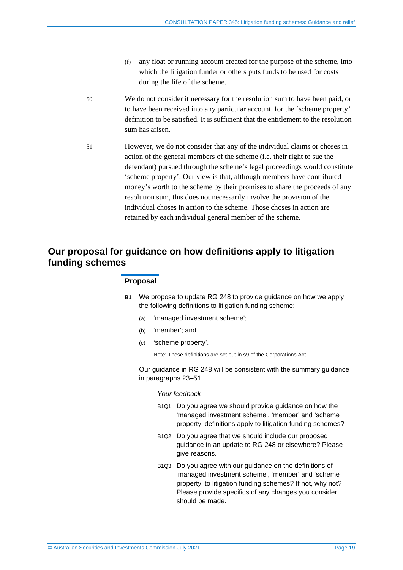- (f) any float or running account created for the purpose of the scheme, into which the litigation funder or others puts funds to be used for costs during the life of the scheme.
- <span id="page-18-3"></span>50 We do not consider it necessary for the resolution sum to have been paid, or to have been received into any particular account, for the 'scheme property' definition to be satisfied. It is sufficient that the entitlement to the resolution sum has arisen.
- <span id="page-18-1"></span>51 However, we do not consider that any of the individual claims or choses in action of the general members of the scheme (i.e. their right to sue the defendant) pursued through the scheme's legal proceedings would constitute 'scheme property'. Our view is that, although members have contributed money's worth to the scheme by their promises to share the proceeds of any resolution sum, this does not necessarily involve the provision of the individual choses in action to the scheme. Those choses in action are retained by each individual general member of the scheme.

## <span id="page-18-2"></span><span id="page-18-0"></span>**Our proposal for guidance on how definitions apply to litigation funding schemes**

#### **Proposal**

- **B1** We propose to update RG 248 to provide guidance on how we apply the following definitions to litigation funding scheme:
	- (a) 'managed investment scheme';
	- (b) 'member'; and
	- (c) 'scheme property'.

Note: These definitions are set out in s9 of the Corporations Act

Our guidance in RG 248 will be consistent with the summary guidance in paragraphs [23–](#page-10-2)[51.](#page-18-1)

#### *Your feedback*

- B1Q1 Do you agree we should provide guidance on how the 'managed investment scheme', 'member' and 'scheme property' definitions apply to litigation funding schemes?
- B1Q2 Do you agree that we should include our proposed guidance in an update to RG 248 or elsewhere? Please give reasons.
- B1Q3 Do you agree with our guidance on the definitions of 'managed investment scheme', 'member' and 'scheme property' to litigation funding schemes? If not, why not? Please provide specifics of any changes you consider should be made.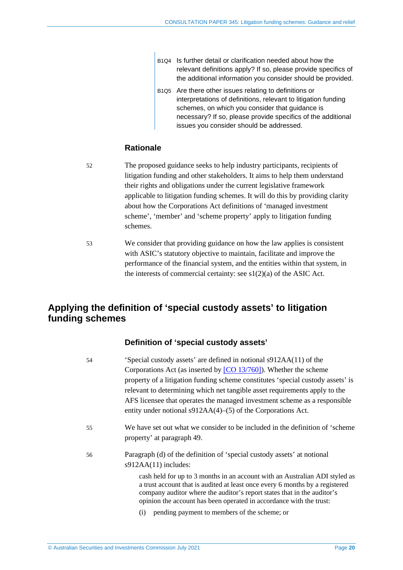- B1Q4 Is further detail or clarification needed about how the relevant definitions apply? If so, please provide specifics of the additional information you consider should be provided.
- B1Q5 Are there other issues relating to definitions or interpretations of definitions, relevant to litigation funding schemes, on which you consider that guidance is necessary? If so, please provide specifics of the additional issues you consider should be addressed.

## **Rationale**

52 The proposed guidance seeks to help industry participants, recipients of litigation funding and other stakeholders. It aims to help them understand their rights and obligations under the current legislative framework applicable to litigation funding schemes. It will do this by providing clarity about how the Corporations Act definitions of 'managed investment scheme', 'member' and 'scheme property' apply to litigation funding schemes.

53 We consider that providing guidance on how the law applies is consistent with ASIC's statutory objective to maintain, facilitate and improve the performance of the financial system, and the entities within that system, in the interests of commercial certainty: see  $s1(2)(a)$  of the ASIC Act.

## <span id="page-19-0"></span>**Applying the definition of 'special custody assets' to litigation funding schemes**

## **Definition of 'special custody assets'**

<span id="page-19-1"></span>

| 54 | 'Special custody assets' are defined in notional s912AA(11) of the                                                                                                                                                                                                                                            |
|----|---------------------------------------------------------------------------------------------------------------------------------------------------------------------------------------------------------------------------------------------------------------------------------------------------------------|
|    | Corporations Act (as inserted by $[CO 13/760]$ ). Whether the scheme                                                                                                                                                                                                                                          |
|    | property of a litigation funding scheme constitutes 'special custody assets' is                                                                                                                                                                                                                               |
|    | relevant to determining which net tangible asset requirements apply to the                                                                                                                                                                                                                                    |
|    | AFS licensee that operates the managed investment scheme as a responsible                                                                                                                                                                                                                                     |
|    | entity under notional $s912AA(4)$ –(5) of the Corporations Act.                                                                                                                                                                                                                                               |
| 55 | We have set out what we consider to be included in the definition of 'scheme<br>property' at paragraph 49.                                                                                                                                                                                                    |
| 56 | Paragraph (d) of the definition of 'special custody assets' at notional<br>$s912AA(11)$ includes:                                                                                                                                                                                                             |
|    | cash held for up to 3 months in an account with an Australian ADI styled as<br>a trust account that is audited at least once every 6 months by a registered<br>company auditor where the auditor's report states that in the auditor's<br>opinion the account has been operated in accordance with the trust: |
|    | pending payment to members of the scheme; or<br>(i)                                                                                                                                                                                                                                                           |
|    |                                                                                                                                                                                                                                                                                                               |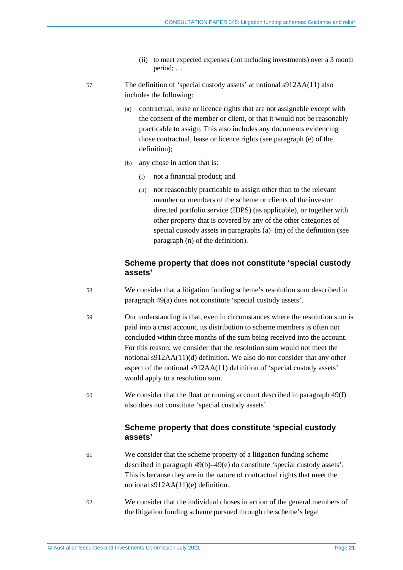- (ii) to meet expected expenses (not including investments) over a 3 month period; …
- 57 The definition of 'special custody assets' at notional s912AA(11) also includes the following:
	- (a) contractual, lease or licence rights that are not assignable except with the consent of the member or client, or that it would not be reasonably practicable to assign. This also includes any documents evidencing those contractual, lease or licence rights (see paragraph (e) of the definition);
	- (b) any chose in action that is:
		- (i) not a financial product; and
		- (ii) not reasonably practicable to assign other than to the relevant member or members of the scheme or clients of the investor directed portfolio service (IDPS) (as applicable), or together with other property that is covered by any of the other categories of special custody assets in paragraphs (a)–(m) of the definition (see paragraph (n) of the definition).

## **Scheme property that does not constitute 'special custody assets'**

- <span id="page-20-1"></span>58 We consider that a litigation funding scheme's resolution sum described in paragraph [49\(a\)](#page-17-3) does not constitute 'special custody assets'.
- 59 Our understanding is that, even in circumstances where the resolution sum is paid into a trust account, its distribution to scheme members is often not concluded within three months of the sum being received into the account. For this reason, we consider that the resolution sum would not meet the notional s912AA(11)(d) definition. We also do not consider that any other aspect of the notional s912AA(11) definition of 'special custody assets' would apply to a resolution sum.
- 60 We consider that the float or running account described in paragraph [49\(f\)](#page-18-3) also does not constitute 'special custody assets'.

## **Scheme property that does constitute 'special custody assets'**

- 61 We consider that the scheme property of a litigation funding scheme described in paragraph [49\(b\)](#page-17-4)[–49\(e\)](#page-17-5) do constitute 'special custody assets'. This is because they are in the nature of contractual rights that meet the notional s912AA(11)(e) definition.
- <span id="page-20-0"></span>62 We consider that the individual choses in action of the general members of the litigation funding scheme pursued through the scheme's legal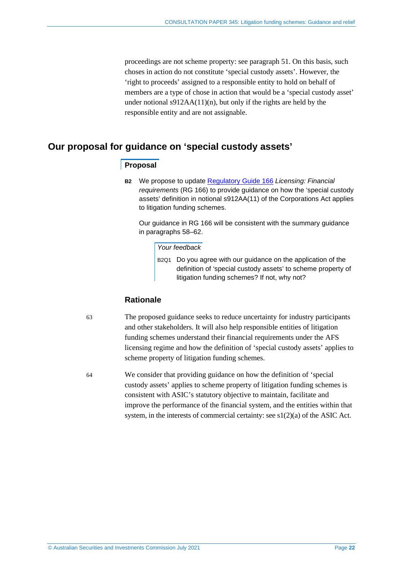proceedings are not scheme property: see paragraph [51.](#page-18-1) On this basis, such choses in action do not constitute 'special custody assets'. However, the 'right to proceeds' assigned to a responsible entity to hold on behalf of members are a type of chose in action that would be a 'special custody asset' under notional  $s912AA(11)(n)$ , but only if the rights are held by the responsible entity and are not assignable.

## <span id="page-21-1"></span><span id="page-21-0"></span>**Our proposal for guidance on 'special custody assets'**

## **Proposal**

**B2** We propose to update [Regulatory](https://asic.gov.au/regulatory-resources/find-a-document/regulatory-guides/rg-166-licensing-financial-requirements/) Guide 166 *Licensing: Financial requirements* (RG 166) to provide guidance on how the 'special custody assets' definition in notional s912AA(11) of the Corporations Act applies to litigation funding schemes.

Our guidance in RG 166 will be consistent with the summary guidance in paragraphs [58–](#page-20-1)[62.](#page-20-0)

*Your feedback*

B2Q1 Do you agree with our guidance on the application of the definition of 'special custody assets' to scheme property of litigation funding schemes? If not, why not?

## **Rationale**

63 The proposed guidance seeks to reduce uncertainty for industry participants and other stakeholders. It will also help responsible entities of litigation funding schemes understand their financial requirements under the AFS licensing regime and how the definition of 'special custody assets' applies to scheme property of litigation funding schemes.

64 We consider that providing guidance on how the definition of 'special custody assets' applies to scheme property of litigation funding schemes is consistent with ASIC's statutory objective to maintain, facilitate and improve the performance of the financial system, and the entities within that system, in the interests of commercial certainty: see s1(2)(a) of the ASIC Act.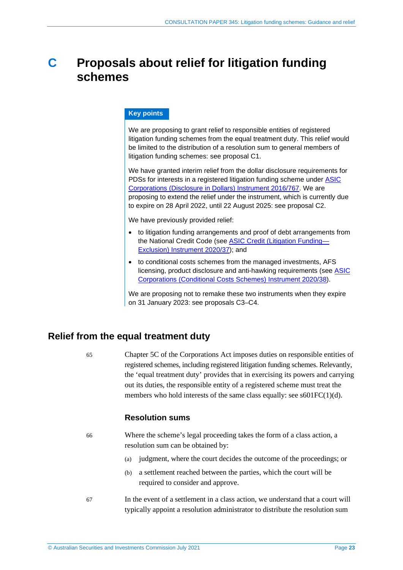## <span id="page-22-0"></span>**C Proposals about relief for litigation funding schemes**

## **Key points**

We are proposing to grant relief to responsible entities of registered litigation funding schemes from the equal treatment duty. This relief would be limited to the distribution of a resolution sum to general members of litigation funding schemes: see proposal [C1.](#page-23-1)

We have granted interim relief from the dollar disclosure requirements for PDSs for interests in a registered litigation funding scheme under [ASIC](https://www.legislation.gov.au/Details/F2021C00453) [Corporations](https://www.legislation.gov.au/Details/F2021C00453) (Disclosure in Dollars) Instrument 2016/767. We are proposing to extend the relief under the instrument, which is currently due to expire on 28 April 2022, until 22 August 2025: see proposal [C2.](#page-28-1)

We have previously provided relief:

- to litigation funding arrangements and proof of debt arrangements from the National Credit Code (see ASIC Credit (Litigation [Funding—](https://www.legislation.gov.au/current/F2020L00035) Exclusion) [Instrument](https://www.legislation.gov.au/current/F2020L00035) 2020/37); and
- to conditional costs schemes from the managed investments, AFS licensing, product disclosure and anti-hawking requirements (see [ASIC](https://www.legislation.gov.au/Details/F2020L00034) [Corporations](https://www.legislation.gov.au/Details/F2020L00034) (Conditional Costs Schemes) Instrument 2020/38).

We are proposing not to remake these two instruments when they expire on 31 January 2023: see proposals [C3–](#page-32-1)[C4.](#page-32-2)

## <span id="page-22-1"></span>**Relief from the equal treatment duty**

65 Chapter 5C of the Corporations Act imposes duties on responsible entities of registered schemes, including registered litigation funding schemes. Relevantly, the 'equal treatment duty' provides that in exercising its powers and carrying out its duties, the responsible entity of a registered scheme must treat the members who hold interests of the same class equally: see s601FC(1)(d).

## **Resolution sums**

66 Where the scheme's legal proceeding takes the form of a class action, a resolution sum can be obtained by:

- (a) judgment, where the court decides the outcome of the proceedings; or
- (b) a settlement reached between the parties, which the court will be required to consider and approve.
- 67 In the event of a settlement in a class action, we understand that a court will typically appoint a resolution administrator to distribute the resolution sum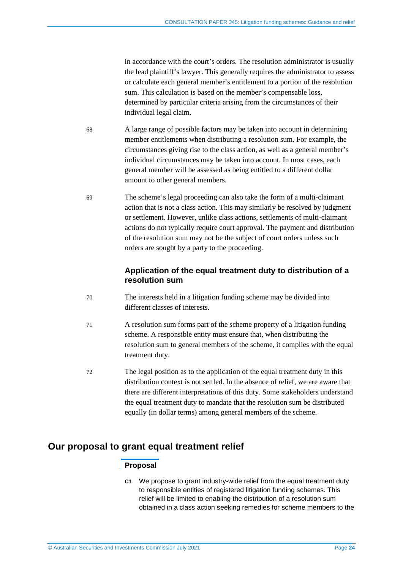in accordance with the court's orders. The resolution administrator is usually the lead plaintiff's lawyer. This generally requires the administrator to assess or calculate each general member's entitlement to a portion of the resolution sum. This calculation is based on the member's compensable loss, determined by particular criteria arising from the circumstances of their individual legal claim.

- 68 A large range of possible factors may be taken into account in determining member entitlements when distributing a resolution sum. For example, the circumstances giving rise to the class action, as well as a general member's individual circumstances may be taken into account. In most cases, each general member will be assessed as being entitled to a different dollar amount to other general members.
- 69 The scheme's legal proceeding can also take the form of a multi-claimant action that is not a class action. This may similarly be resolved by judgment or settlement. However, unlike class actions, settlements of multi-claimant actions do not typically require court approval. The payment and distribution of the resolution sum may not be the subject of court orders unless such orders are sought by a party to the proceeding.

## **Application of the equal treatment duty to distribution of a resolution sum**

- 70 The interests held in a litigation funding scheme may be divided into different classes of interests.
- 71 A resolution sum forms part of the scheme property of a litigation funding scheme. A responsible entity must ensure that, when distributing the resolution sum to general members of the scheme, it complies with the equal treatment duty.
- 72 The legal position as to the application of the equal treatment duty in this distribution context is not settled. In the absence of relief, we are aware that there are different interpretations of this duty. Some stakeholders understand the equal treatment duty to mandate that the resolution sum be distributed equally (in dollar terms) among general members of the scheme.

## <span id="page-23-1"></span><span id="page-23-0"></span>**Our proposal to grant equal treatment relief**

## **Proposal**

**C1** We propose to grant industry-wide relief from the equal treatment duty to responsible entities of registered litigation funding schemes. This relief will be limited to enabling the distribution of a resolution sum obtained in a class action seeking remedies for scheme members to the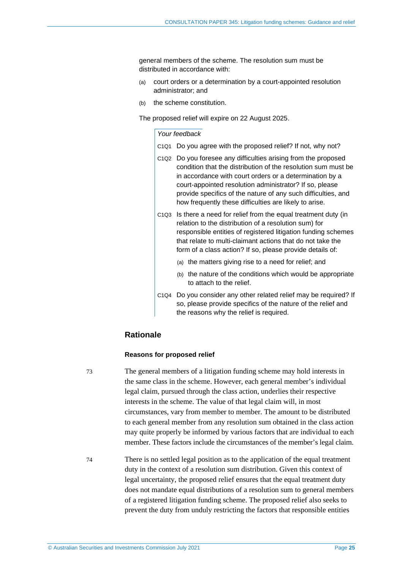general members of the scheme. The resolution sum must be distributed in accordance with:

- (a) court orders or a determination by a court-appointed resolution administrator; and
- (b) the scheme constitution.

The proposed relief will expire on 22 August 2025.

#### *Your feedback*

- C1Q1 Do you agree with the proposed relief? If not, why not?
- C1Q2 Do you foresee any difficulties arising from the proposed condition that the distribution of the resolution sum must be in accordance with court orders or a determination by a court-appointed resolution administrator? If so, please provide specifics of the nature of any such difficulties, and how frequently these difficulties are likely to arise.
- C1Q3 Is there a need for relief from the equal treatment duty (in relation to the distribution of a resolution sum) for responsible entities of registered litigation funding schemes that relate to multi-claimant actions that do not take the form of a class action? If so, please provide details of:
	- (a) the matters giving rise to a need for relief; and
	- (b) the nature of the conditions which would be appropriate to attach to the relief.
- C1Q4 Do you consider any other related relief may be required? If so, please provide specifics of the nature of the relief and the reasons why the relief is required.

## **Rationale**

#### **Reasons for proposed relief**

73 The general members of a litigation funding scheme may hold interests in the same class in the scheme. However, each general member's individual legal claim, pursued through the class action, underlies their respective interests in the scheme. The value of that legal claim will, in most circumstances, vary from member to member. The amount to be distributed to each general member from any resolution sum obtained in the class action may quite properly be informed by various factors that are individual to each member. These factors include the circumstances of the member's legal claim.

74 There is no settled legal position as to the application of the equal treatment duty in the context of a resolution sum distribution. Given this context of legal uncertainty, the proposed relief ensures that the equal treatment duty does not mandate equal distributions of a resolution sum to general members of a registered litigation funding scheme. The proposed relief also seeks to prevent the duty from unduly restricting the factors that responsible entities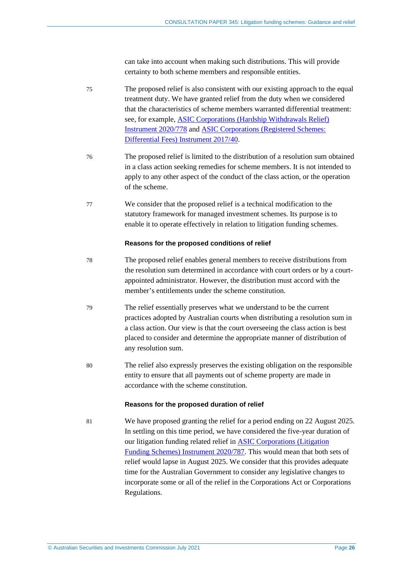can take into account when making such distributions. This will provide certainty to both scheme members and responsible entities.

- 75 The proposed relief is also consistent with our existing approach to the equal treatment duty. We have granted relief from the duty when we considered that the characteristics of scheme members warranted differential treatment: see, for example, ASIC [Corporations](https://www.legislation.gov.au/Details/F2020L01069) (Hardship Withdrawals Relief) [Instrument](https://www.legislation.gov.au/Details/F2020L01069) 2020/778 and ASIC [Corporations](https://www.legislation.gov.au/Details/F2017L00202) (Registered Schemes: [Differential](https://www.legislation.gov.au/Details/F2017L00202) Fees) Instrument 2017/40.
- 76 The proposed relief is limited to the distribution of a resolution sum obtained in a class action seeking remedies for scheme members. It is not intended to apply to any other aspect of the conduct of the class action, or the operation of the scheme.
- 77 We consider that the proposed relief is a technical modification to the statutory framework for managed investment schemes. Its purpose is to enable it to operate effectively in relation to litigation funding schemes.

#### **Reasons for the proposed conditions of relief**

- 78 The proposed relief enables general members to receive distributions from the resolution sum determined in accordance with court orders or by a courtappointed administrator. However, the distribution must accord with the member's entitlements under the scheme constitution.
- 79 The relief essentially preserves what we understand to be the current practices adopted by Australian courts when distributing a resolution sum in a class action. Our view is that the court overseeing the class action is best placed to consider and determine the appropriate manner of distribution of any resolution sum.
- 80 The relief also expressly preserves the existing obligation on the responsible entity to ensure that all payments out of scheme property are made in accordance with the scheme constitution.

#### **Reasons for the proposed duration of relief**

81 We have proposed granting the relief for a period ending on 22 August 2025. In settling on this time period, we have considered the five-year duration of our litigation funding related relief in ASIC [Corporations](https://www.legislation.gov.au/Details/F2021C00447) (Litigation Funding Schemes) [Instrument](https://www.legislation.gov.au/Details/F2021C00447) 2020/787. This would mean that both sets of relief would lapse in August 2025. We consider that this provides adequate time for the Australian Government to consider any legislative changes to incorporate some or all of the relief in the Corporations Act or Corporations Regulations.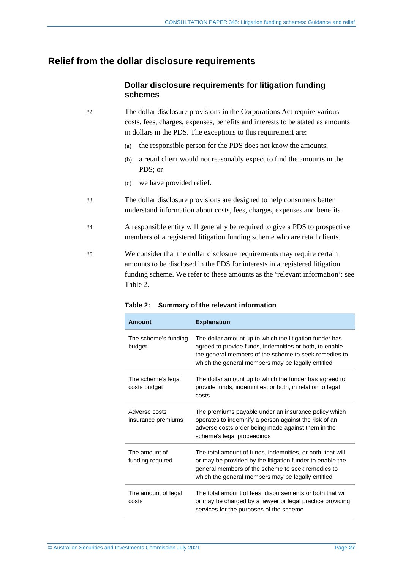## <span id="page-26-0"></span>**Relief from the dollar disclosure requirements**

## **Dollar disclosure requirements for litigation funding schemes**

- 82 The dollar disclosure provisions in the Corporations Act require various costs, fees, charges, expenses, benefits and interests to be stated as amounts in dollars in the PDS. The exceptions to this requirement are:
	- (a) the responsible person for the PDS does not know the amounts;
	- (b) a retail client would not reasonably expect to find the amounts in the PDS; or
	- (c) we have provided relief.
- 83 The dollar disclosure provisions are designed to help consumers better understand information about costs, fees, charges, expenses and benefits.
- 84 A responsible entity will generally be required to give a PDS to prospective members of a registered litigation funding scheme who are retail clients.
- <span id="page-26-1"></span>85 We consider that the dollar disclosure requirements may require certain amounts to be disclosed in the PDS for interests in a registered litigation funding scheme. We refer to these amounts as the 'relevant information': see [Table 2.](#page-26-1)

| <b>Amount</b>                       | <b>Explanation</b>                                                                                                                                                                                                                |
|-------------------------------------|-----------------------------------------------------------------------------------------------------------------------------------------------------------------------------------------------------------------------------------|
| The scheme's funding<br>budget      | The dollar amount up to which the litigation funder has<br>agreed to provide funds, indemnities or both, to enable<br>the general members of the scheme to seek remedies to<br>which the general members may be legally entitled  |
| The scheme's legal<br>costs budget  | The dollar amount up to which the funder has agreed to<br>provide funds, indemnities, or both, in relation to legal<br>costs                                                                                                      |
| Adverse costs<br>insurance premiums | The premiums payable under an insurance policy which<br>operates to indemnify a person against the risk of an<br>adverse costs order being made against them in the<br>scheme's legal proceedings                                 |
| The amount of<br>funding required   | The total amount of funds, indemnities, or both, that will<br>or may be provided by the litigation funder to enable the<br>general members of the scheme to seek remedies to<br>which the general members may be legally entitled |
| The amount of legal<br>costs        | The total amount of fees, disbursements or both that will<br>or may be charged by a lawyer or legal practice providing<br>services for the purposes of the scheme                                                                 |

#### **Table 2: Summary of the relevant information**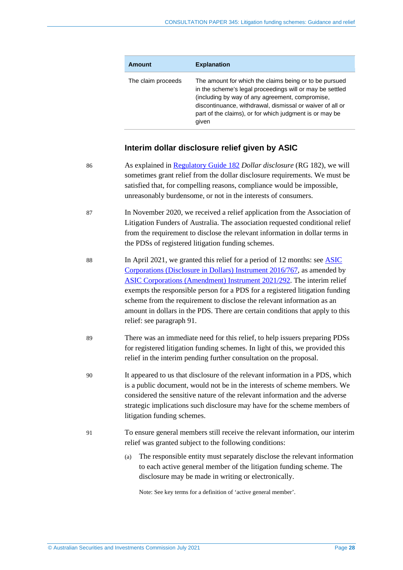| Amount             | <b>Explanation</b>                                                                                                                                                                                                                                                                                     |
|--------------------|--------------------------------------------------------------------------------------------------------------------------------------------------------------------------------------------------------------------------------------------------------------------------------------------------------|
| The claim proceeds | The amount for which the claims being or to be pursued<br>in the scheme's legal proceedings will or may be settled<br>(including by way of any agreement, compromise,<br>discontinuance, withdrawal, dismissal or waiver of all or<br>part of the claims), or for which judgment is or may be<br>given |

## **Interim dollar disclosure relief given by ASIC**

| 86 | As explained in Regulatory Guide 182 Dollar disclosure (RG 182), we will<br>sometimes grant relief from the dollar disclosure requirements. We must be<br>satisfied that, for compelling reasons, compliance would be impossible,<br>unreasonably burdensome, or not in the interests of consumers.                                                                                                                                                                                                                 |
|----|---------------------------------------------------------------------------------------------------------------------------------------------------------------------------------------------------------------------------------------------------------------------------------------------------------------------------------------------------------------------------------------------------------------------------------------------------------------------------------------------------------------------|
| 87 | In November 2020, we received a relief application from the Association of<br>Litigation Funders of Australia. The association requested conditional relief<br>from the requirement to disclose the relevant information in dollar terms in<br>the PDSs of registered litigation funding schemes.                                                                                                                                                                                                                   |
| 88 | In April 2021, we granted this relief for a period of 12 months: see <b>ASIC</b><br>Corporations (Disclosure in Dollars) Instrument 2016/767, as amended by<br><b>ASIC Corporations (Amendment) Instrument 2021/292. The interim relief</b><br>exempts the responsible person for a PDS for a registered litigation funding<br>scheme from the requirement to disclose the relevant information as an<br>amount in dollars in the PDS. There are certain conditions that apply to this<br>relief: see paragraph 91. |
| 89 | There was an immediate need for this relief, to help issuers preparing PDSs<br>for registered litigation funding schemes. In light of this, we provided this<br>relief in the interim pending further consultation on the proposal.                                                                                                                                                                                                                                                                                 |
| 90 | It appeared to us that disclosure of the relevant information in a PDS, which<br>is a public document, would not be in the interests of scheme members. We<br>considered the sensitive nature of the relevant information and the adverse<br>strategic implications such disclosure may have for the scheme members of<br>litigation funding schemes.                                                                                                                                                               |
| 91 | To ensure general members still receive the relevant information, our interim<br>relief was granted subject to the following conditions:                                                                                                                                                                                                                                                                                                                                                                            |
|    | The responsible entity must separately disclose the relevant information<br>(a)<br>to each active general member of the litigation funding scheme. The<br>disclosure may be made in writing or electronically.                                                                                                                                                                                                                                                                                                      |

<span id="page-27-0"></span>Note: See key terms for a definition of 'active general member'.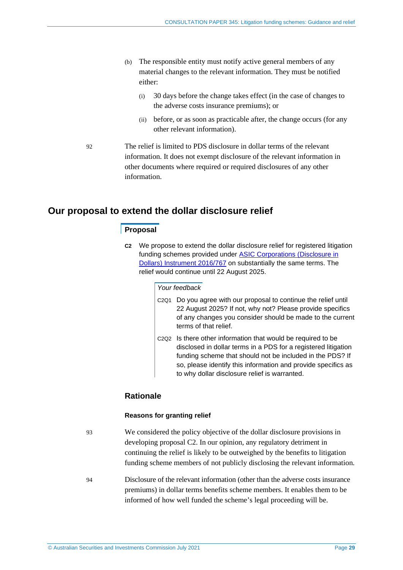- (b) The responsible entity must notify active general members of any material changes to the relevant information. They must be notified either:
	- (i) 30 days before the change takes effect (in the case of changes to the adverse costs insurance premiums); or
	- (ii) before, or as soon as practicable after, the change occurs (for any other relevant information).
- 92 The relief is limited to PDS disclosure in dollar terms of the relevant information. It does not exempt disclosure of the relevant information in other documents where required or required disclosures of any other information.

## <span id="page-28-1"></span><span id="page-28-0"></span>**Our proposal to extend the dollar disclosure relief**

## **Proposal**

**C2** We propose to extend the dollar disclosure relief for registered litigation funding schemes provided under ASIC [Corporations](https://www.legislation.gov.au/Details/F2021C00453) (Disclosure in Dollars) [Instrument](https://www.legislation.gov.au/Details/F2021C00453) 2016/767 on substantially the same terms. The relief would continue until 22 August 2025.

#### *Your feedback*

- C2Q1 Do you agree with our proposal to continue the relief until 22 August 2025? If not, why not? Please provide specifics of any changes you consider should be made to the current terms of that relief.
- C2Q2 Is there other information that would be required to be disclosed in dollar terms in a PDS for a registered litigation funding scheme that should not be included in the PDS? If so, please identify this information and provide specifics as to why dollar disclosure relief is warranted.

## **Rationale**

#### **Reasons for granting relief**

93 We considered the policy objective of the dollar disclosure provisions in developing proposal [C2.](#page-28-1) In our opinion, any regulatory detriment in continuing the relief is likely to be outweighed by the benefits to litigation funding scheme members of not publicly disclosing the relevant information.

94 Disclosure of the relevant information (other than the adverse costs insurance premiums) in dollar terms benefits scheme members. It enables them to be informed of how well funded the scheme's legal proceeding will be.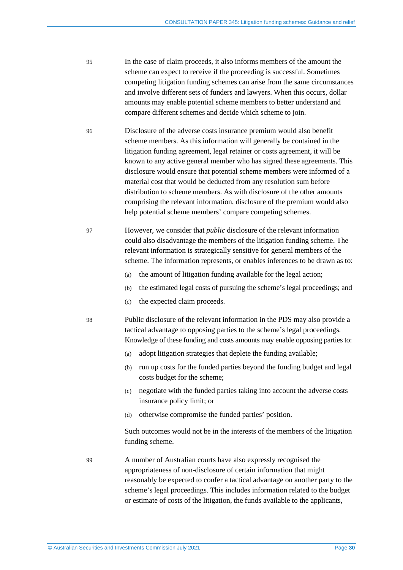- 95 In the case of claim proceeds, it also informs members of the amount the scheme can expect to receive if the proceeding is successful. Sometimes competing litigation funding schemes can arise from the same circumstances and involve different sets of funders and lawyers. When this occurs, dollar amounts may enable potential scheme members to better understand and compare different schemes and decide which scheme to join.
- 96 Disclosure of the adverse costs insurance premium would also benefit scheme members. As this information will generally be contained in the litigation funding agreement, legal retainer or costs agreement, it will be known to any active general member who has signed these agreements. This disclosure would ensure that potential scheme members were informed of a material cost that would be deducted from any resolution sum before distribution to scheme members. As with disclosure of the other amounts comprising the relevant information, disclosure of the premium would also help potential scheme members' compare competing schemes.
- 97 However, we consider that *public* disclosure of the relevant information could also disadvantage the members of the litigation funding scheme. The relevant information is strategically sensitive for general members of the scheme. The information represents, or enables inferences to be drawn as to:
	- (a) the amount of litigation funding available for the legal action;
	- (b) the estimated legal costs of pursuing the scheme's legal proceedings; and
	- (c) the expected claim proceeds.
- 98 Public disclosure of the relevant information in the PDS may also provide a tactical advantage to opposing parties to the scheme's legal proceedings. Knowledge of these funding and costs amounts may enable opposing parties to:
	- (a) adopt litigation strategies that deplete the funding available;
	- (b) run up costs for the funded parties beyond the funding budget and legal costs budget for the scheme;
	- (c) negotiate with the funded parties taking into account the adverse costs insurance policy limit; or
	- (d) otherwise compromise the funded parties' position.

Such outcomes would not be in the interests of the members of the litigation funding scheme.

99 A number of Australian courts have also expressly recognised the appropriateness of non-disclosure of certain information that might reasonably be expected to confer a tactical advantage on another party to the scheme's legal proceedings. This includes information related to the budget or estimate of costs of the litigation, the funds available to the applicants,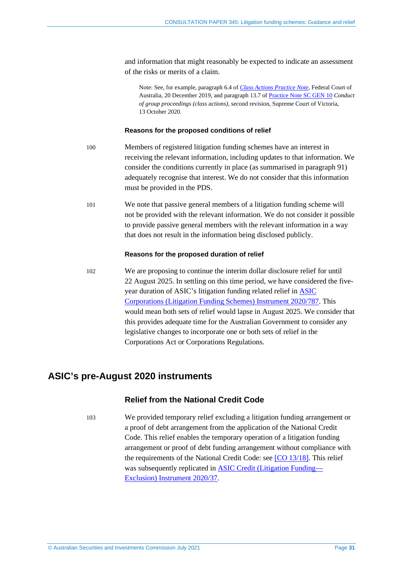and information that might reasonably be expected to indicate an assessment of the risks or merits of a claim.

Note: See, for example, paragraph 6.4 of *Class Actions [Practice](https://www.fedcourt.gov.au/law-and-practice/practice-documents/practice-notes/gpn-ca) Note*, Federal Court of Australia, 20 December 2019, and paragraph 13.7 of [Practice](https://www.supremecourt.vic.gov.au/law-and-practice/practice-notes/sc-gen-10-conduct-of-group-proceedings-class-actions-second) Note SC GEN 10 *Conduct of group proceedings (class actions)*, second revision, Supreme Court of Victoria, 13 October 2020.

#### **Reasons for the proposed conditions of relief**

- 100 Members of registered litigation funding schemes have an interest in receiving the relevant information, including updates to that information. We consider the conditions currently in place (as summarised in paragraph [91\)](#page-27-0) adequately recognise that interest. We do not consider that this information must be provided in the PDS.
- 101 We note that passive general members of a litigation funding scheme will not be provided with the relevant information. We do not consider it possible to provide passive general members with the relevant information in a way that does not result in the information being disclosed publicly.

#### **Reasons for the proposed duration of relief**

102 We are proposing to continue the interim dollar disclosure relief for until 22 August 2025. In settling on this time period, we have considered the fiveyear duration of ASIC's litigation funding related relief in [ASIC](https://www.legislation.gov.au/Details/F2021C00447) [Corporations](https://www.legislation.gov.au/Details/F2021C00447) (Litigation Funding Schemes) Instrument 2020/787. This would mean both sets of relief would lapse in August 2025. We consider that this provides adequate time for the Australian Government to consider any legislative changes to incorporate one or both sets of relief in the Corporations Act or Corporations Regulations.

## <span id="page-30-0"></span>**ASIC's pre-August 2020 instruments**

## **Relief from the National Credit Code**

103 We provided temporary relief excluding a litigation funding arrangement or a proof of debt arrangement from the application of the National Credit Code. This relief enables the temporary operation of a litigation funding arrangement or proof of debt funding arrangement without compliance with the requirements of the National Credit Code: see [CO [13/18\].](https://www.legislation.gov.au/current/F2017C00575) This relief was subsequently replicated in ASIC Credit (Litigation [Funding—](https://www.legislation.gov.au/current/F2020L00035) [Exclusion\)](https://www.legislation.gov.au/current/F2020L00035) Instrument 2020/37.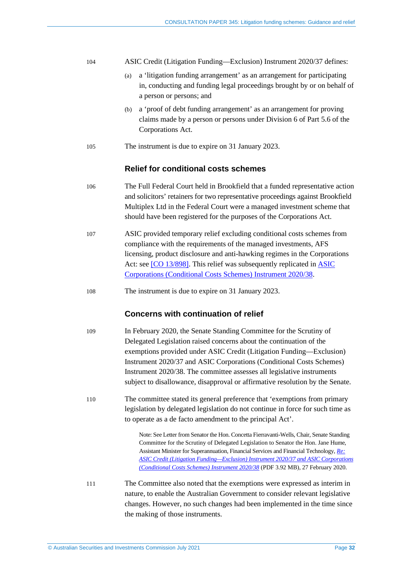| 104 |  |  |  |  | ASIC Credit (Litigation Funding—Exclusion) Instrument 2020/37 defines: |  |
|-----|--|--|--|--|------------------------------------------------------------------------|--|
|-----|--|--|--|--|------------------------------------------------------------------------|--|

- (a) a 'litigation funding arrangement' as an arrangement for participating in, conducting and funding legal proceedings brought by or on behalf of a person or persons; and
- (b) a 'proof of debt funding arrangement' as an arrangement for proving claims made by a person or persons under Division 6 of Part 5.6 of the Corporations Act.
- 105 The instrument is due to expire on 31 January 2023.

## **Relief for conditional costs schemes**

- 106 The Full Federal Court held in Brookfield that a funded representative action and solicitors' retainers for two representative proceedings against Brookfield Multiplex Ltd in the Federal Court were a managed investment scheme that should have been registered for the purposes of the Corporations Act.
- 107 ASIC provided temporary relief excluding conditional costs schemes from compliance with the requirements of the managed investments, AFS licensing, product disclosure and anti-hawking regimes in the Corporations Act: see [CO [13/898\].](https://www.legislation.gov.au/current/F2017C00574) This relief was subsequently replicated in [ASIC](https://www.legislation.gov.au/Details/F2020L00034) [Corporations](https://www.legislation.gov.au/Details/F2020L00034) (Conditional Costs Schemes) Instrument 2020/38.
- 108 The instrument is due to expire on 31 January 2023.

### **Concerns with continuation of relief**

- <span id="page-31-0"></span>109 In February 2020, the Senate Standing Committee for the Scrutiny of Delegated Legislation raised concerns about the continuation of the exemptions provided under ASIC Credit (Litigation Funding—Exclusion) Instrument 2020/37 and ASIC Corporations (Conditional Costs Schemes) Instrument 2020/38. The committee assesses all legislative instruments subject to disallowance, disapproval or affirmative resolution by the Senate.
- <span id="page-31-1"></span>110 The committee stated its general preference that 'exemptions from primary legislation by delegated legislation do not continue in force for such time as to operate as a de facto amendment to the principal Act'.

Note: See Letter from Senator the Hon. Concetta Fierravanti-Wells, Chair, Senate Standing Committee for the Scrutiny of Delegated Legislation to Senator the Hon. Jane Hume, Assistant Minister for Superannuation, Financial Services and Financial Technology, *[Re:](https://www.aph.gov.au/Parliamentary_Business/Committees/Senate/Scrutiny_of_Delegated_Legislation/Index/-/media/3FD92850BF4C44F89B4578BEADDA2D31.ashx) ASIC Credit (Litigation [Funding—Exclusion\)](https://www.aph.gov.au/Parliamentary_Business/Committees/Senate/Scrutiny_of_Delegated_Legislation/Index/-/media/3FD92850BF4C44F89B4578BEADDA2D31.ashx) Instrument 2020/37 and ASIC Corporations [\(Conditional](https://www.aph.gov.au/Parliamentary_Business/Committees/Senate/Scrutiny_of_Delegated_Legislation/Index/-/media/3FD92850BF4C44F89B4578BEADDA2D31.ashx) Costs Schemes) Instrument 2020/38* (PDF 3.92 MB), 27 February 2020.

111 The Committee also noted that the exemptions were expressed as interim in nature, to enable the Australian Government to consider relevant legislative changes. However, no such changes had been implemented in the time since the making of those instruments.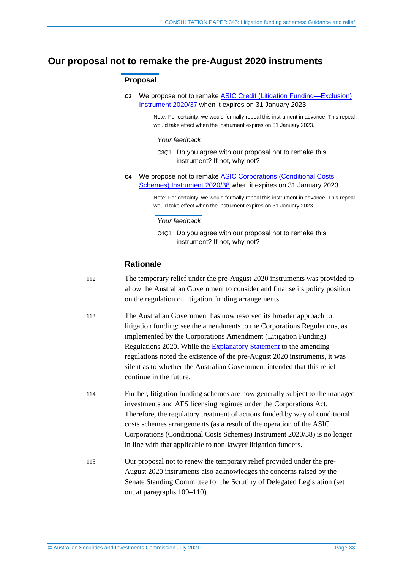## <span id="page-32-1"></span><span id="page-32-0"></span>**Our proposal not to remake the pre-August 2020 instruments**

## **Proposal**

**C3** We propose not to remake ASIC Credit (Litigation [Funding—Exclusion\)](https://www.legislation.gov.au/Details/F2020L00035) [Instrument](https://www.legislation.gov.au/Details/F2020L00035) 2020/37 when it expires on 31 January 2023.

> Note: For certainty, we would formally repeal this instrument in advance. This repeal would take effect when the instrument expires on 31 January 2023.

#### *Your feedback*

C3Q1 Do you agree with our proposal not to remake this instrument? If not, why not?

<span id="page-32-2"></span>**C4** We propose not to remake ASIC [Corporations](https://www.legislation.gov.au/Details/F2020L00034) (Conditional Costs Schemes) [Instrument](https://www.legislation.gov.au/Details/F2020L00034) 2020/38 when it expires on 31 January 2023.

> Note: For certainty, we would formally repeal this instrument in advance. This repeal would take effect when the instrument expires on 31 January 2023.

#### *Your feedback*

C4Q1 Do you agree with our proposal not to remake this instrument? If not, why not?

## **Rationale**

- 112 The temporary relief under the pre-August 2020 instruments was provided to allow the Australian Government to consider and finalise its policy position on the regulation of litigation funding arrangements.
- 113 The Australian Government has now resolved its broader approach to litigation funding: see the amendments to the Corporations Regulations, as implemented by the Corporations Amendment (Litigation Funding) Regulations 2020. While the [Explanatory](https://www.legislation.gov.au/Details/F2020L00942/Explanatory%20Statement/Text) Statement to the amending regulations noted the existence of the pre-August 2020 instruments, it was silent as to whether the Australian Government intended that this relief continue in the future.
- 114 Further, litigation funding schemes are now generally subject to the managed investments and AFS licensing regimes under the Corporations Act. Therefore, the regulatory treatment of actions funded by way of conditional costs schemes arrangements (as a result of the operation of the ASIC Corporations (Conditional Costs Schemes) Instrument 2020/38) is no longer in line with that applicable to non-lawyer litigation funders.
- 115 Our proposal not to renew the temporary relief provided under the pre-August 2020 instruments also acknowledges the concerns raised by the Senate Standing Committee for the Scrutiny of Delegated Legislation (set out at paragraphs [109–](#page-31-0)[110\)](#page-31-1).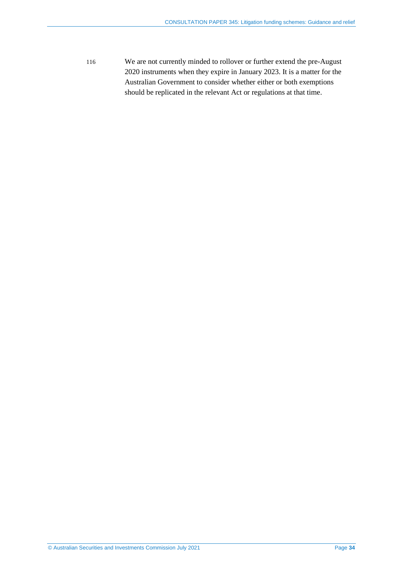116 We are not currently minded to rollover or further extend the pre-August 2020 instruments when they expire in January 2023. It is a matter for the Australian Government to consider whether either or both exemptions should be replicated in the relevant Act or regulations at that time.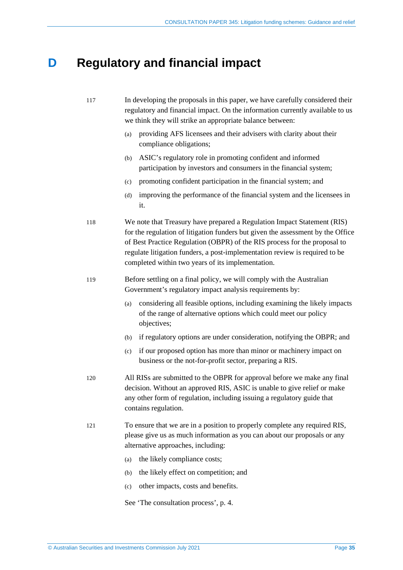## <span id="page-34-0"></span>**D Regulatory and financial impact**

| 117 | In developing the proposals in this paper, we have carefully considered their<br>regulatory and financial impact. On the information currently available to us<br>we think they will strike an appropriate balance between:                                                                                                                                                 |
|-----|-----------------------------------------------------------------------------------------------------------------------------------------------------------------------------------------------------------------------------------------------------------------------------------------------------------------------------------------------------------------------------|
|     | providing AFS licensees and their advisers with clarity about their<br>(a)<br>compliance obligations;                                                                                                                                                                                                                                                                       |
|     | ASIC's regulatory role in promoting confident and informed<br>(b)<br>participation by investors and consumers in the financial system;                                                                                                                                                                                                                                      |
|     | promoting confident participation in the financial system; and<br>(c)                                                                                                                                                                                                                                                                                                       |
|     | improving the performance of the financial system and the licensees in<br>(d)<br>it.                                                                                                                                                                                                                                                                                        |
| 118 | We note that Treasury have prepared a Regulation Impact Statement (RIS)<br>for the regulation of litigation funders but given the assessment by the Office<br>of Best Practice Regulation (OBPR) of the RIS process for the proposal to<br>regulate litigation funders, a post-implementation review is required to be<br>completed within two years of its implementation. |
| 119 | Before settling on a final policy, we will comply with the Australian<br>Government's regulatory impact analysis requirements by:                                                                                                                                                                                                                                           |
|     | considering all feasible options, including examining the likely impacts<br>(a)<br>of the range of alternative options which could meet our policy<br>objectives;                                                                                                                                                                                                           |
|     | if regulatory options are under consideration, notifying the OBPR; and<br>(b)                                                                                                                                                                                                                                                                                               |
|     | if our proposed option has more than minor or machinery impact on<br>(c)<br>business or the not-for-profit sector, preparing a RIS.                                                                                                                                                                                                                                         |
| 120 | All RISs are submitted to the OBPR for approval before we make any final<br>decision. Without an approved RIS, ASIC is unable to give relief or make<br>any other form of regulation, including issuing a regulatory guide that<br>contains regulation.                                                                                                                     |
| 121 | To ensure that we are in a position to properly complete any required RIS,<br>please give us as much information as you can about our proposals or any<br>alternative approaches, including:                                                                                                                                                                                |
|     | the likely compliance costs;<br>(a)                                                                                                                                                                                                                                                                                                                                         |
|     | the likely effect on competition; and<br>(b)                                                                                                                                                                                                                                                                                                                                |
|     | other impacts, costs and benefits.<br>(c)                                                                                                                                                                                                                                                                                                                                   |

See 'The consultation process', p. 4.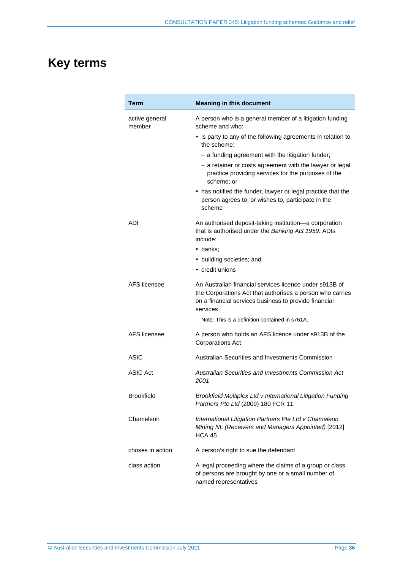## <span id="page-35-0"></span>**Key terms**

| Term                     | <b>Meaning in this document</b>                                                                                                                                                           |
|--------------------------|-------------------------------------------------------------------------------------------------------------------------------------------------------------------------------------------|
| active general<br>member | A person who is a general member of a litigation funding<br>scheme and who:                                                                                                               |
|                          | • is party to any of the following agreements in relation to<br>the scheme:                                                                                                               |
|                          | - a funding agreement with the litigation funder;                                                                                                                                         |
|                          | - a retainer or costs agreement with the lawyer or legal<br>practice providing services for the purposes of the<br>scheme; or                                                             |
|                          | • has notified the funder, lawyer or legal practice that the<br>person agrees to, or wishes to, participate in the<br>scheme                                                              |
| ADI                      | An authorised deposit-taking institution-a corporation<br>that is authorised under the Banking Act 1959. ADIs<br>include:                                                                 |
|                          | • banks:                                                                                                                                                                                  |
|                          | • building societies; and                                                                                                                                                                 |
|                          | • credit unions                                                                                                                                                                           |
| AFS licensee             | An Australian financial services licence under s913B of<br>the Corporations Act that authorises a person who carries<br>on a financial services business to provide financial<br>services |
|                          | Note: This is a definition contained in s761A.                                                                                                                                            |
| AFS licensee             | A person who holds an AFS licence under s913B of the<br><b>Corporations Act</b>                                                                                                           |
| ASIC                     | Australian Securities and Investments Commission                                                                                                                                          |
| <b>ASIC Act</b>          | Australian Securities and Investments Commission Act<br>2001                                                                                                                              |
| <b>Brookfield</b>        | Brookfield Multiplex Ltd v International Litigation Funding<br>Partners Pte Ltd (2009) 180 FCR 11                                                                                         |
| Chameleon                | International Litigation Partners Pte Ltd v Chameleon<br>Mining NL (Receivers and Managers Appointed) [2012]<br><b>HCA 45</b>                                                             |
| choses in action         | A person's right to sue the defendant                                                                                                                                                     |
| class action             | A legal proceeding where the claims of a group or class<br>of persons are brought by one or a small number of<br>named representatives                                                    |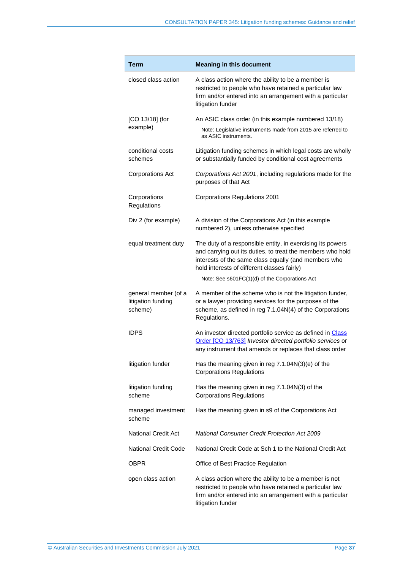| Term                                                  | <b>Meaning in this document</b>                                                                                                                                                                                                 |  |  |
|-------------------------------------------------------|---------------------------------------------------------------------------------------------------------------------------------------------------------------------------------------------------------------------------------|--|--|
| closed class action                                   | A class action where the ability to be a member is<br>restricted to people who have retained a particular law<br>firm and/or entered into an arrangement with a particular<br>litigation funder                                 |  |  |
| $[CO 13/18]$ (for<br>example)                         | An ASIC class order (in this example numbered 13/18)<br>Note: Legislative instruments made from 2015 are referred to                                                                                                            |  |  |
|                                                       | as ASIC instruments.                                                                                                                                                                                                            |  |  |
| conditional costs<br>schemes                          | Litigation funding schemes in which legal costs are wholly<br>or substantially funded by conditional cost agreements                                                                                                            |  |  |
| <b>Corporations Act</b>                               | Corporations Act 2001, including regulations made for the<br>purposes of that Act                                                                                                                                               |  |  |
| Corporations<br>Regulations                           | <b>Corporations Regulations 2001</b>                                                                                                                                                                                            |  |  |
| Div 2 (for example)                                   | A division of the Corporations Act (in this example<br>numbered 2), unless otherwise specified                                                                                                                                  |  |  |
| equal treatment duty                                  | The duty of a responsible entity, in exercising its powers<br>and carrying out its duties, to treat the members who hold<br>interests of the same class equally (and members who<br>hold interests of different classes fairly) |  |  |
|                                                       | Note: See s601FC(1)(d) of the Corporations Act                                                                                                                                                                                  |  |  |
| general member (of a<br>litigation funding<br>scheme) | A member of the scheme who is not the litigation funder,<br>or a lawyer providing services for the purposes of the<br>scheme, as defined in reg 7.1.04N(4) of the Corporations<br>Regulations.                                  |  |  |
| <b>IDPS</b>                                           | An investor directed portfolio service as defined in Class<br>Order [CO 13/763] Investor directed portfolio services or<br>any instrument that amends or replaces that class order                                              |  |  |
| litigation funder                                     | Has the meaning given in reg $7.1.04N(3)(e)$ of the<br><b>Corporations Regulations</b>                                                                                                                                          |  |  |
| litigation funding<br>scheme                          | Has the meaning given in reg 7.1.04N(3) of the<br><b>Corporations Regulations</b>                                                                                                                                               |  |  |
| managed investment<br>scheme                          | Has the meaning given in s9 of the Corporations Act                                                                                                                                                                             |  |  |
| <b>National Credit Act</b>                            | <b>National Consumer Credit Protection Act 2009</b>                                                                                                                                                                             |  |  |
| <b>National Credit Code</b>                           | National Credit Code at Sch 1 to the National Credit Act                                                                                                                                                                        |  |  |
| OBPR                                                  | Office of Best Practice Regulation                                                                                                                                                                                              |  |  |
| open class action                                     | A class action where the ability to be a member is not<br>restricted to people who have retained a particular law<br>firm and/or entered into an arrangement with a particular<br>litigation funder                             |  |  |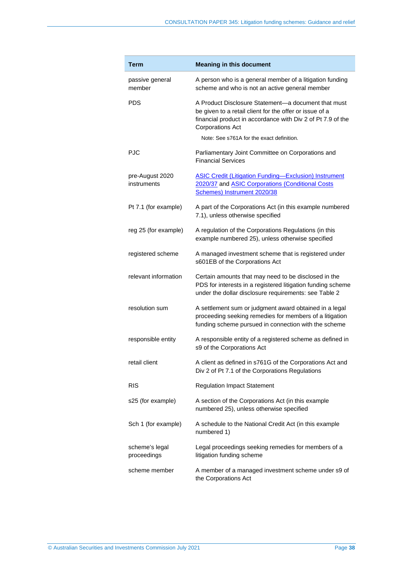| Term                           | <b>Meaning in this document</b>                                                                                                                                                                          |  |  |
|--------------------------------|----------------------------------------------------------------------------------------------------------------------------------------------------------------------------------------------------------|--|--|
| passive general<br>member      | A person who is a general member of a litigation funding<br>scheme and who is not an active general member                                                                                               |  |  |
| <b>PDS</b>                     | A Product Disclosure Statement-a document that must<br>be given to a retail client for the offer or issue of a<br>financial product in accordance with Div 2 of Pt 7.9 of the<br><b>Corporations Act</b> |  |  |
|                                | Note: See s761A for the exact definition.                                                                                                                                                                |  |  |
| <b>PJC</b>                     | Parliamentary Joint Committee on Corporations and<br><b>Financial Services</b>                                                                                                                           |  |  |
| pre-August 2020<br>instruments | <b>ASIC Credit (Litigation Funding-Exclusion) Instrument</b><br>2020/37 and ASIC Corporations (Conditional Costs<br>Schemes) Instrument 2020/38                                                          |  |  |
| Pt 7.1 (for example)           | A part of the Corporations Act (in this example numbered<br>7.1), unless otherwise specified                                                                                                             |  |  |
| reg 25 (for example)           | A regulation of the Corporations Regulations (in this<br>example numbered 25), unless otherwise specified                                                                                                |  |  |
| registered scheme              | A managed investment scheme that is registered under<br>s601EB of the Corporations Act                                                                                                                   |  |  |
| relevant information           | Certain amounts that may need to be disclosed in the<br>PDS for interests in a registered litigation funding scheme<br>under the dollar disclosure requirements: see Table 2                             |  |  |
| resolution sum                 | A settlement sum or judgment award obtained in a legal<br>proceeding seeking remedies for members of a litigation<br>funding scheme pursued in connection with the scheme                                |  |  |
| responsible entity             | A responsible entity of a registered scheme as defined in<br>s9 of the Corporations Act                                                                                                                  |  |  |
| retail client                  | A client as defined in s761G of the Corporations Act and<br>Div 2 of Pt 7.1 of the Corporations Regulations                                                                                              |  |  |
| <b>RIS</b>                     | <b>Regulation Impact Statement</b>                                                                                                                                                                       |  |  |
| s25 (for example)              | A section of the Corporations Act (in this example<br>numbered 25), unless otherwise specified                                                                                                           |  |  |
| Sch 1 (for example)            | A schedule to the National Credit Act (in this example<br>numbered 1)                                                                                                                                    |  |  |
| scheme's legal<br>proceedings  | Legal proceedings seeking remedies for members of a<br>litigation funding scheme                                                                                                                         |  |  |
| scheme member                  | A member of a managed investment scheme under s9 of<br>the Corporations Act                                                                                                                              |  |  |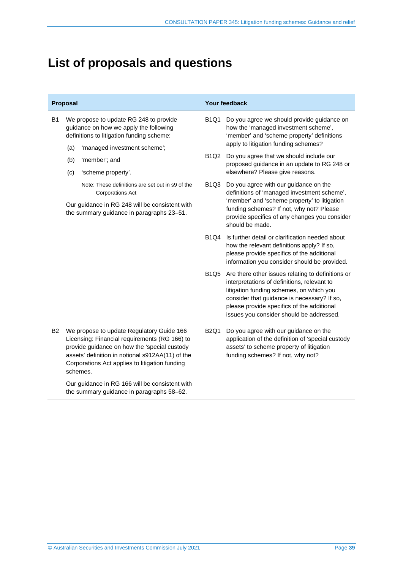## <span id="page-38-0"></span>**List of proposals and questions**

| Proposal  |                                                                                                                                                                                                                                                              | Your feedback                                    |                                                                                                                                                                                                                                                                                       |
|-----------|--------------------------------------------------------------------------------------------------------------------------------------------------------------------------------------------------------------------------------------------------------------|--------------------------------------------------|---------------------------------------------------------------------------------------------------------------------------------------------------------------------------------------------------------------------------------------------------------------------------------------|
| B1        | We propose to update RG 248 to provide<br>guidance on how we apply the following<br>definitions to litigation funding scheme:                                                                                                                                | <b>B1Q1</b>                                      | Do you agree we should provide guidance on<br>how the 'managed investment scheme',<br>'member' and 'scheme property' definitions<br>apply to litigation funding schemes?                                                                                                              |
|           | (a)<br>'managed investment scheme';<br>'member'; and<br>(b)<br>(c)<br>'scheme property'.                                                                                                                                                                     |                                                  | B1Q2 Do you agree that we should include our<br>proposed guidance in an update to RG 248 or<br>elsewhere? Please give reasons.                                                                                                                                                        |
|           | Note: These definitions are set out in s9 of the<br><b>Corporations Act</b><br>Our guidance in RG 248 will be consistent with<br>the summary guidance in paragraphs 23-51.                                                                                   | B <sub>1</sub> Q <sub>3</sub><br>should be made. | Do you agree with our guidance on the<br>definitions of 'managed investment scheme',<br>'member' and 'scheme property' to litigation<br>funding schemes? If not, why not? Please<br>provide specifics of any changes you consider                                                     |
|           |                                                                                                                                                                                                                                                              | <b>B1Q4</b>                                      | Is further detail or clarification needed about<br>how the relevant definitions apply? If so,<br>please provide specifics of the additional<br>information you consider should be provided.                                                                                           |
|           |                                                                                                                                                                                                                                                              | B <sub>1</sub> Q <sub>5</sub>                    | Are there other issues relating to definitions or<br>interpretations of definitions, relevant to<br>litigation funding schemes, on which you<br>consider that guidance is necessary? If so,<br>please provide specifics of the additional<br>issues you consider should be addressed. |
| <b>B2</b> | We propose to update Regulatory Guide 166<br>Licensing: Financial requirements (RG 166) to<br>provide guidance on how the 'special custody<br>assets' definition in notional s912AA(11) of the<br>Corporations Act applies to litigation funding<br>schemes. | <b>B2Q1</b>                                      | Do you agree with our guidance on the<br>application of the definition of 'special custody<br>assets' to scheme property of litigation<br>funding schemes? If not, why not?                                                                                                           |
|           | Our guidance in RG 166 will be consistent with<br>the summary guidance in paragraphs 58-62.                                                                                                                                                                  |                                                  |                                                                                                                                                                                                                                                                                       |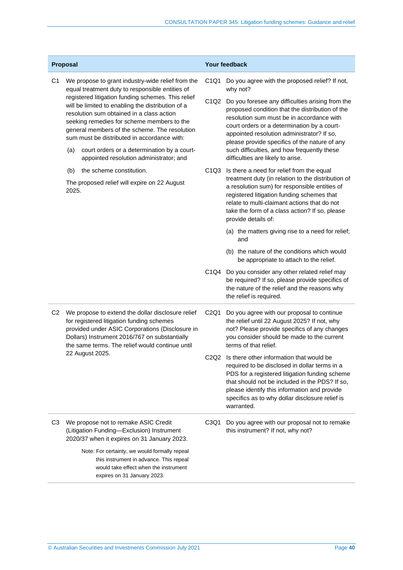| Proposal       |                                                                                                                                                                                                                                                                                                                                                                                                            | Your feedback                                                                                                                                                                                                                                         |                                                                                                                                                                                                                                                                                                                                              |                                                                                                                                                                                                                                                                                                |
|----------------|------------------------------------------------------------------------------------------------------------------------------------------------------------------------------------------------------------------------------------------------------------------------------------------------------------------------------------------------------------------------------------------------------------|-------------------------------------------------------------------------------------------------------------------------------------------------------------------------------------------------------------------------------------------------------|----------------------------------------------------------------------------------------------------------------------------------------------------------------------------------------------------------------------------------------------------------------------------------------------------------------------------------------------|------------------------------------------------------------------------------------------------------------------------------------------------------------------------------------------------------------------------------------------------------------------------------------------------|
| C <sub>1</sub> | We propose to grant industry-wide relief from the<br>equal treatment duty to responsible entities of<br>registered litigation funding schemes. This relief<br>will be limited to enabling the distribution of a<br>resolution sum obtained in a class action<br>seeking remedies for scheme members to the<br>general members of the scheme. The resolution<br>sum must be distributed in accordance with: |                                                                                                                                                                                                                                                       | C1Q1                                                                                                                                                                                                                                                                                                                                         | Do you agree with the proposed relief? If not,<br>why not?                                                                                                                                                                                                                                     |
|                |                                                                                                                                                                                                                                                                                                                                                                                                            |                                                                                                                                                                                                                                                       | C1Q2                                                                                                                                                                                                                                                                                                                                         | Do you foresee any difficulties arising from the<br>proposed condition that the distribution of the<br>resolution sum must be in accordance with<br>court orders or a determination by a court-<br>appointed resolution administrator? If so,<br>please provide specifics of the nature of any |
|                | (a)                                                                                                                                                                                                                                                                                                                                                                                                        | court orders or a determination by a court-<br>appointed resolution administrator; and                                                                                                                                                                |                                                                                                                                                                                                                                                                                                                                              | such difficulties, and how frequently these<br>difficulties are likely to arise.                                                                                                                                                                                                               |
|                | (b)<br>the scheme constitution.<br>The proposed relief will expire on 22 August<br>2025.                                                                                                                                                                                                                                                                                                                   | C <sub>1</sub> Q <sub>3</sub>                                                                                                                                                                                                                         | Is there a need for relief from the equal<br>treatment duty (in relation to the distribution of<br>a resolution sum) for responsible entities of<br>registered litigation funding schemes that<br>relate to multi-claimant actions that do not<br>take the form of a class action? If so, please<br>provide details of:                      |                                                                                                                                                                                                                                                                                                |
|                |                                                                                                                                                                                                                                                                                                                                                                                                            |                                                                                                                                                                                                                                                       |                                                                                                                                                                                                                                                                                                                                              | (a) the matters giving rise to a need for relief;<br>and                                                                                                                                                                                                                                       |
|                |                                                                                                                                                                                                                                                                                                                                                                                                            |                                                                                                                                                                                                                                                       |                                                                                                                                                                                                                                                                                                                                              | (b) the nature of the conditions which would<br>be appropriate to attach to the relief.                                                                                                                                                                                                        |
|                |                                                                                                                                                                                                                                                                                                                                                                                                            |                                                                                                                                                                                                                                                       | C1Q4                                                                                                                                                                                                                                                                                                                                         | Do you consider any other related relief may<br>be required? If so, please provide specifics of<br>the nature of the relief and the reasons why<br>the relief is required.                                                                                                                     |
| C <sub>2</sub> |                                                                                                                                                                                                                                                                                                                                                                                                            | We propose to extend the dollar disclosure relief<br>for registered litigation funding schemes<br>provided under ASIC Corporations (Disclosure in<br>Dollars) Instrument 2016/767 on substantially<br>the same terms. The relief would continue until | C2Q1                                                                                                                                                                                                                                                                                                                                         | Do you agree with our proposal to continue<br>the relief until 22 August 2025? If not, why<br>not? Please provide specifics of any changes<br>you consider should be made to the current<br>terms of that relief.                                                                              |
|                | 22 August 2025.                                                                                                                                                                                                                                                                                                                                                                                            |                                                                                                                                                                                                                                                       | C <sub>2</sub> O <sub>2</sub> Is there other information that would be<br>required to be disclosed in dollar terms in a<br>PDS for a registered litigation funding scheme<br>that should not be included in the PDS? If so,<br>please identify this information and provide<br>specifics as to why dollar disclosure relief is<br>warranted. |                                                                                                                                                                                                                                                                                                |
| C <sub>3</sub> |                                                                                                                                                                                                                                                                                                                                                                                                            | We propose not to remake ASIC Credit<br>(Litigation Funding-Exclusion) Instrument<br>2020/37 when it expires on 31 January 2023.                                                                                                                      | C <sub>3</sub> Q <sub>1</sub>                                                                                                                                                                                                                                                                                                                | Do you agree with our proposal not to remake<br>this instrument? If not, why not?                                                                                                                                                                                                              |
|                |                                                                                                                                                                                                                                                                                                                                                                                                            | Note: For certainty, we would formally repeal<br>this instrument in advance. This repeal<br>would take effect when the instrument<br>expires on 31 January 2023.                                                                                      |                                                                                                                                                                                                                                                                                                                                              |                                                                                                                                                                                                                                                                                                |